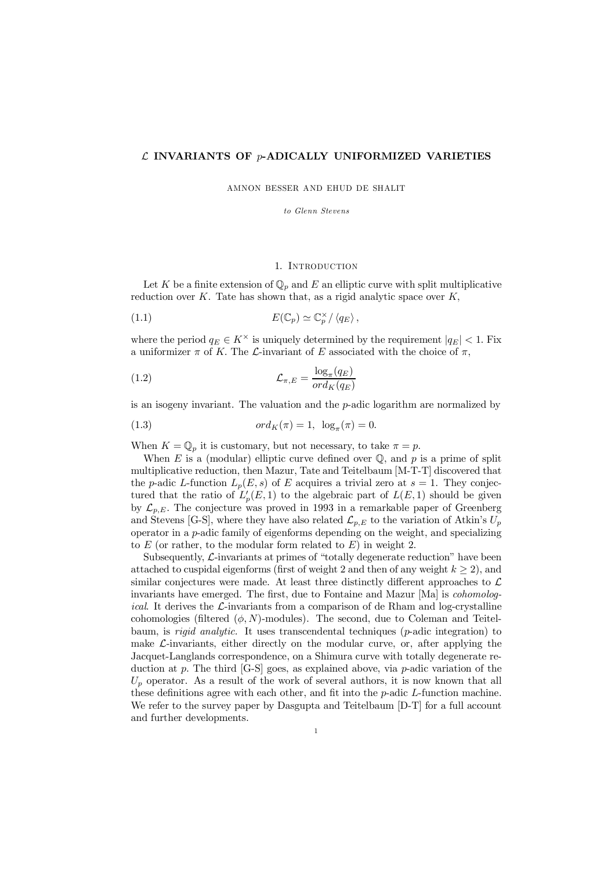### $\mathcal L$  INVARIANTS OF  $p$ -ADICALLY UNIFORMIZED VARIETIES

AMNON BESSER AND EHUD DE SHALIT

*to Glenn Stevens*

## 1. Introduction

Let K be a finite extension of  $\mathbb{Q}_p$  and E an elliptic curve with split multiplicative reduction over  $K$ . Tate has shown that, as a rigid analytic space over  $K$ ,

(1.1) 
$$
E(\mathbb{C}_p) \simeq \mathbb{C}_p^{\times} / \langle q_E \rangle,
$$

where the period  $q_E \in K^\times$  is uniquely determined by the requirement  $|q_E| < 1$ . Fix a uniformizer  $\pi$  of K. The  $\mathcal L$ -invariant of E associated with the choice of  $\pi$ ,

(1.2) 
$$
\mathcal{L}_{\pi,E} = \frac{\log_{\pi}(q_E)}{ord_K(q_E)}
$$

is an isogeny invariant. The valuation and the p-adic logarithm are normalized by

(1.3) 
$$
ord_K(\pi) = 1, \ \log_{\pi}(\pi) = 0.
$$

When  $K = \mathbb{Q}_p$  it is customary, but not necessary, to take  $\pi = p$ .

When  $E$  is a (modular) elliptic curve defined over  $\mathbb Q$ , and  $p$  is a prime of split multiplicative reduction, then Mazur, Tate and Teitelbaum [M-T-T] discovered that the p-adic L-function  $L_p(E, s)$  of E acquires a trivial zero at  $s = 1$ . They conjectured that the ratio of  $L_p'(E,1)$  to the algebraic part of  $L(E,1)$  should be given by  $\mathcal{L}_{p,E}$ . The conjecture was proved in 1993 in a remarkable paper of Greenberg and Stevens [G-S], where they have also related  $\mathcal{L}_{p,E}$  to the variation of Atkin's  $U_p$ operator in a  $p$ -adic family of eigenforms depending on the weight, and specializing to  $E$  (or rather, to the modular form related to  $E$ ) in weight 2.

Subsequently,  $\mathcal{L}$ -invariants at primes of "totally degenerate reduction" have been attached to cuspidal eigenforms (first of weight 2 and then of any weight  $k \ge 2$ ), and similar conjectures were made. At least three distinctly different approaches to  $\mathcal{L}$ invariants have emerged. The first, due to Fontaine and Mazur [Ma] is *cohomological*. It derives the L-invariants from a comparison of de Rham and log-crystalline cohomologies (filtered  $(\phi, N)$ -modules). The second, due to Coleman and Teitelbaum, is *rigid analytic.* It uses transcendental techniques (p-adic integration) to make  $\mathcal{L}$ -invariants, either directly on the modular curve, or, after applying the Jacquet-Langlands correspondence, on a Shimura curve with totally degenerate reduction at p. The third  $[G-S]$  goes, as explained above, via p-adic variation of the  $U_p$  operator. As a result of the work of several authors, it is now known that all these definitions agree with each other, and fit into the  $p$ -adic  $L$ -function machine. We refer to the survey paper by Dasgupta and Teitelbaum [D-T] for a full account and further developments.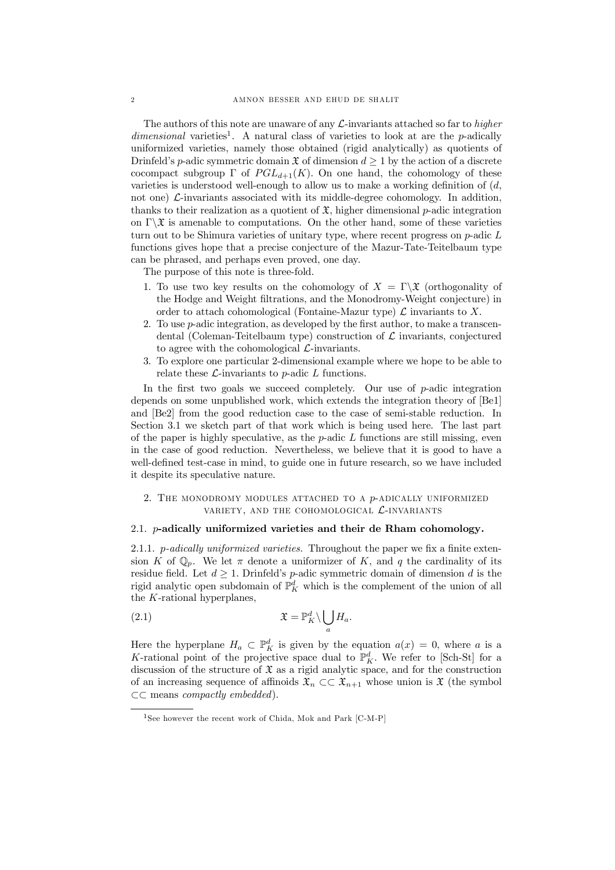The authors of this note are unaware of any L-invariants attached so far to *higher* dimensional varieties<sup>1</sup>. A natural class of varieties to look at are the p-adically uniformized varieties, namely those obtained (rigid analytically) as quotients of Drinfeld's *p*-adic symmetric domain  $\mathfrak{X}$  of dimension  $d \geq 1$  by the action of a discrete cocompact subgroup  $\Gamma$  of  $PGL_{d+1}(K)$ . On one hand, the cohomology of these varieties is understood well-enough to allow us to make a working definition of  $(d,$ not one)  $\mathcal{L}$ -invariants associated with its middle-degree cohomology. In addition, thanks to their realization as a quotient of  $\mathfrak{X}$ , higher dimensional p-adic integration on  $\Gamma \backslash \mathfrak{X}$  is amenable to computations. On the other hand, some of these varieties turn out to be Shimura varieties of unitary type, where recent progress on  $p$ -adic  $L$ functions gives hope that a precise conjecture of the Mazur-Tate-Teitelbaum type can be phrased, and perhaps even proved, one day.

The purpose of this note is three-fold.

- 1. To use two key results on the cohomology of  $X = \Gamma \backslash \mathfrak{X}$  (orthogonality of the Hodge and Weight filtrations, and the Monodromy-Weight conjecture) in order to attach cohomological (Fontaine-Mazur type)  $\mathcal L$  invariants to X.
- 2. To use  $p$ -adic integration, as developed by the first author, to make a transcendental (Coleman-Teitelbaum type) construction of  $\mathcal L$  invariants, conjectured to agree with the cohomological  $\mathcal{L}$ -invariants.
- 3. To explore one particular 2-dimensional example where we hope to be able to relate these  $\mathcal{L}$ -invariants to p-adic  $L$  functions.

In the first two goals we succeed completely. Our use of  $p$ -adic integration depends on some unpublished work, which extends the integration theory of [Be1] and [Be2] from the good reduction case to the case of semi-stable reduction. In Section 3.1 we sketch part of that work which is being used here. The last part of the paper is highly speculative, as the  $p$ -adic  $L$  functions are still missing, even in the case of good reduction. Nevertheless, we believe that it is good to have a well-defined test-case in mind, to guide one in future research, so we have included it despite its speculative nature.

## 2. THE MONODROMY MODULES ATTACHED TO A  $p$ -ADICALLY UNIFORMIZED VARIETY, AND THE COHOMOLOGICAL  $\mathcal{L}$ -INVARIANTS

# 2.1.  $p$ -adically uniformized varieties and their de Rham cohomology.

2.1.1. p-adically uniformized varieties. Throughout the paper we fix a finite extension K of  $\mathbb{Q}_p$ . We let  $\pi$  denote a uniformizer of K, and q the cardinality of its residue field. Let  $d \geq 1$ . Drinfeld's *p*-adic symmetric domain of dimension d is the rigid analytic open subdomain of  $\mathbb{P}^d_K$  which is the complement of the union of all the K-rational hyperplanes,

(2.1) 
$$
\mathfrak{X} = \mathbb{P}_{K}^{d} \setminus \bigcup_{a} H_{a}.
$$

Here the hyperplane  $H_a \subset \mathbb{P}^d_K$  is given by the equation  $a(x) = 0$ , where a is a K-rational point of the projective space dual to  $\mathbb{P}^d_K$ . We refer to [Sch-St] for a discussion of the structure of  $\mathfrak X$  as a rigid analytic space, and for the construction of an increasing sequence of affinoids  $\mathfrak{X}_n \subset \subset \mathfrak{X}_{n+1}$  whose union is X (the symbol  $\subset$  means *compactly embedded*).

<sup>&</sup>lt;sup>1</sup>See however the recent work of Chida, Mok and Park [C-M-P]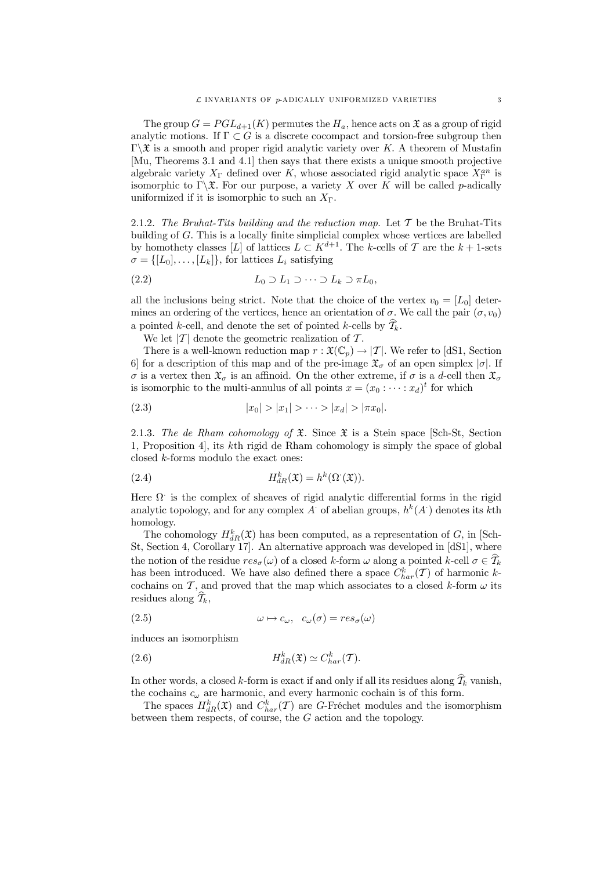The group  $G = PGL_{d+1}(K)$  permutes the  $H_a$ , hence acts on  $\mathfrak X$  as a group of rigid analytic motions. If  $\Gamma \subset G$  is a discrete cocompact and torsion-free subgroup then  $\Gamma \backslash \mathfrak{X}$  is a smooth and proper rigid analytic variety over K. A theorem of Mustafin [Mu, Theorems 3.1 and 4.1] then says that there exists a unique smooth projective algebraic variety  $X_{\Gamma}$  defined over K, whose associated rigid analytic space  $X_{\Gamma}^{an}$  is isomorphic to  $\Gamma \backslash \mathfrak{X}$ . For our purpose, a variety X over K will be called p-adically uniformized if it is isomorphic to such an  $X_{\Gamma}$ .

2.1.2. The Bruhat-Tits building and the reduction map. Let  $\mathcal T$  be the Bruhat-Tits building of  $G$ . This is a locally finite simplicial complex whose vertices are labelled by homothety classes [L] of lattices  $L \subset K^{d+1}$ . The k-cells of T are the  $k+1$ -sets  $\sigma = \{ [L_0], \ldots, [L_k] \}$ , for lattices  $L_i$  satisfying

$$
(2.2) \tL_0 \supset L_1 \supset \cdots \supset L_k \supset \pi L_0,
$$

all the inclusions being strict. Note that the choice of the vertex  $v_0 = [L_0]$  determines an ordering of the vertices, hence an orientation of  $\sigma$ . We call the pair  $(\sigma, v_0)$ a pointed k-cell, and denote the set of pointed k-cells by  $\widehat{T}_k$ .

We let  $|T|$  denote the geometric realization of T.

There is a well-known reduction map  $r : \mathfrak{X}(\mathbb{C}_p) \to |T|$ . We refer to [dS1, Section 6] for a description of this map and of the pre-image  $\mathfrak{X}_{\sigma}$  of an open simplex  $|\sigma|$ . If  $\sigma$  is a vertex then  $\mathfrak{X}_{\sigma}$  is an affinoid. On the other extreme, if  $\sigma$  is a d-cell then  $\mathfrak{X}_{\sigma}$ is isomorphic to the multi-annulus of all points  $x = (x_0 : \dots : x_d)^t$  for which

(2.3) 
$$
|x_0| > |x_1| > \cdots > |x_d| > |\pi x_0|.
$$

2.1.3. The de Rham cohomology of  $\mathfrak{X}$ . Since  $\mathfrak{X}$  is a Stein space [Sch-St, Section 1, Proposition 4], its kth rigid de Rham cohomology is simply the space of global closed  $k$ -forms modulo the exact ones:

(2.4) 
$$
H_{dR}^k(\mathfrak{X}) = h^k(\Omega^{\cdot}(\mathfrak{X})).
$$

Here  $\Omega$  is the complex of sheaves of rigid analytic differential forms in the rigid analytic topology, and for any complex A of abelian groups,  $h^k(A)$  denotes its kth homology.

The cohomology  $H_{dR}^k(\mathfrak{X})$  has been computed, as a representation of G, in [Sch-St, Section 4, Corollary 17]. An alternative approach was developed in [dS1], where the notion of the residue  $res_{\sigma}(\omega)$  of a closed k-form  $\omega$  along a pointed k-cell  $\sigma \in \widehat{\mathcal{T}}_k$ has been introduced. We have also defined there a space  $C_{har}^k(\mathcal{T})$  of harmonic kcochains on  $\mathcal T$ , and proved that the map which associates to a closed k-form  $\omega$  its residues along  $\widehat{\mathcal{T}}_k$ ,

(2.5) 
$$
\omega \mapsto c_{\omega}, \quad c_{\omega}(\sigma) = res_{\sigma}(\omega)
$$

induces an isomorphism

(2.6) 
$$
H_{dR}^k(\mathfrak{X}) \simeq C_{har}^k(\mathcal{T}).
$$

In other words, a closed k-form is exact if and only if all its residues along  $\widehat{\mathcal{I}}_k$  vanish, the cochains  $c_{\omega}$  are harmonic, and every harmonic cochain is of this form.

The spaces  $H_{dR}^k(\mathfrak{X})$  and  $C_{har}^k(\mathcal{T})$  are G-Fréchet modules and the isomorphism between them respects, of course, the G action and the topology.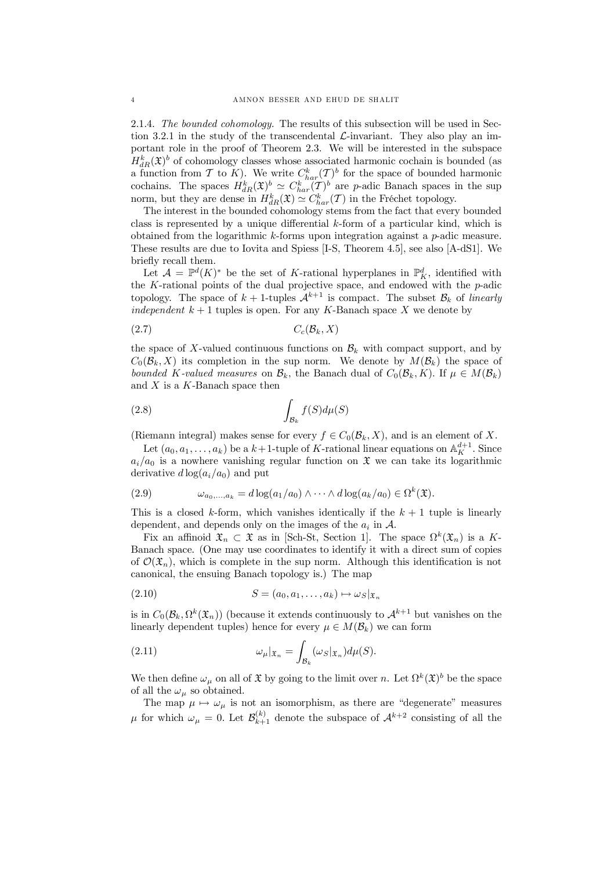2.1.4. *The bounded cohomology.* The results of this subsection will be used in Section 3.2.1 in the study of the transcendental  $\mathcal{L}$ -invariant. They also play an important role in the proof of Theorem 2.3. We will be interested in the subspace  $H_{dR}^k(\mathfrak{X})^b$  of cohomology classes whose associated harmonic cochain is bounded (as a function from T to K). We write  $C_{har}^k(\mathcal{I})^b$  for the space of bounded harmonic cochains. The spaces  $H_{dR}^k(\mathfrak{X})^b \simeq C_{har}^k(\mathcal{T})^b$  are *p*-adic Banach spaces in the sup norm, but they are dense in  $H_{dR}^k(\mathfrak{X}) \simeq C_{har}^k(\mathcal{T})$  in the Fréchet topology.

The interest in the bounded cohomology stems from the fact that every bounded class is represented by a unique differential k-form of a particular kind, which is obtained from the logarithmic k-forms upon integration against a p-adic measure. These results are due to Iovita and Spiess [I-S, Theorem 4.5], see also [A-dS1]. We briefly recall them.

Let  $\mathcal{A} = \mathbb{P}^d(K)^*$  be the set of K-rational hyperplanes in  $\mathbb{P}^d_K$ , identified with the K-rational points of the dual projective space, and endowed with the  $p$ -adic topology. The space of  $k + 1$ -tuples  $\mathcal{A}^{k+1}$  is compact. The subset  $\mathcal{B}_k$  of *linearly independent*  $k + 1$  tuples is open. For any K-Banach space X we denote by

$$
(2.7) \t Cc(Bk, X)
$$

the space of X-valued continuous functions on  $\mathcal{B}_k$  with compact support, and by  $C_0(\mathcal{B}_k, X)$  its completion in the sup norm. We denote by  $M(\mathcal{B}_k)$  the space of *bounded* K-valued measures on  $\mathcal{B}_k$ , the Banach dual of  $C_0(\mathcal{B}_k, K)$ . If  $\mu \in M(\mathcal{B}_k)$ and  $X$  is a  $K$ -Banach space then

$$
\int_{\mathcal{B}_k} f(S) d\mu(S)
$$

(Riemann integral) makes sense for every  $f \in C_0(\mathcal{B}_k, X)$ , and is an element of X.

Let  $(a_0, a_1, \ldots, a_k)$  be a  $k+1$ -tuple of K-rational linear equations on  $\mathbb{A}_K^{d+1}$ . Since  $a_i/a_0$  is a nowhere vanishing regular function on  $\mathfrak X$  we can take its logarithmic derivative  $d \log(a_i/a_0)$  and put

(2.9) 
$$
\omega_{a_0,\ldots,a_k} = d \log(a_1/a_0) \wedge \cdots \wedge d \log(a_k/a_0) \in \Omega^k(\mathfrak{X}).
$$

This is a closed k-form, which vanishes identically if the  $k + 1$  tuple is linearly dependent, and depends only on the images of the  $a_i$  in  $\mathcal{A}$ .

Fix an affinoid  $\mathfrak{X}_n \subset \mathfrak{X}$  as in [Sch-St, Section 1]. The space  $\Omega^k(\mathfrak{X}_n)$  is a K-Banach space. (One may use coordinates to identify it with a direct sum of copies of  $\mathcal{O}(\mathfrak{X}_n)$ , which is complete in the sup norm. Although this identification is not canonical, the ensuing Banach topology is.) The map

$$
(2.10) \t\t S = (a_0, a_1, \dots, a_k) \mapsto \omega_S|_{\mathfrak{X}_n}
$$

is in  $C_0(\mathcal{B}_k, \Omega^k(\mathfrak{X}_n))$  (because it extends continuously to  $\mathcal{A}^{k+1}$  but vanishes on the linearly dependent tuples) hence for every  $\mu \in M(\mathcal{B}_k)$  we can form

(2.11) 
$$
\omega_{\mu}|_{\mathfrak{X}_n} = \int_{\mathcal{B}_k} (\omega_S|_{\mathfrak{X}_n}) d\mu(S).
$$

We then define  $\omega_{\mu}$  on all of X by going to the limit over n. Let  $\Omega^{k}(\mathfrak{X})^{b}$  be the space of all the  $\omega_{\mu}$  so obtained.

The map  $\mu \mapsto \omega_{\mu}$  is not an isomorphism, as there are "degenerate" measures  $\mu$  for which  $\omega_{\mu} = 0$ . Let  $\mathcal{B}_{k+}^{(k)}$  $\lambda_{k+1}^{(k)}$  denote the subspace of  $\mathcal{A}^{k+2}$  consisting of all the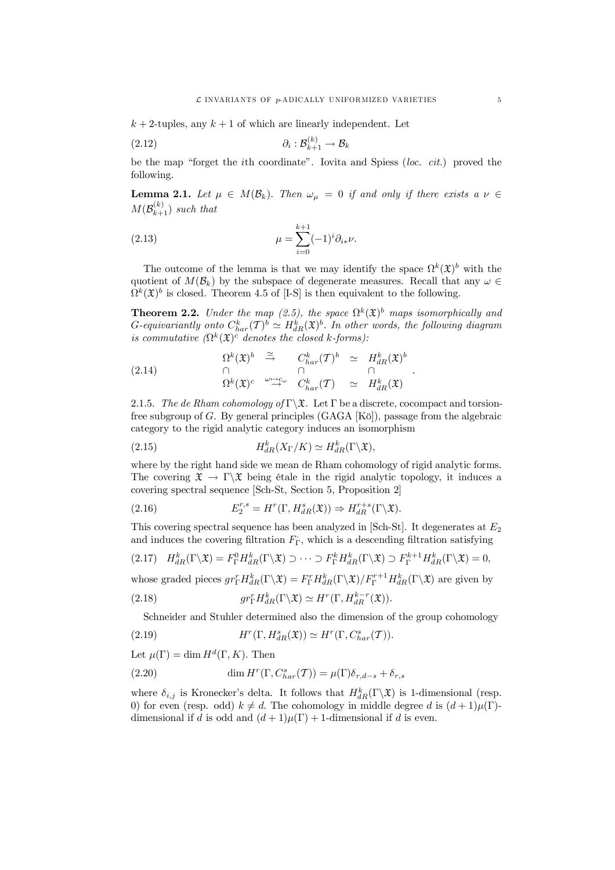$k + 2$ -tuples, any  $k + 1$  of which are linearly independent. Let

$$
(2.12) \t\t\t \partial_i : \mathcal{B}_{k+1}^{(k)} \to \mathcal{B}_k
$$

be the map "forget the ith coordinate". Iovita and Spiess (*loc. cit.*) proved the following.

**Lemma 2.1.** Let  $\mu \in M(\mathcal{B}_k)$ . Then  $\omega_{\mu} = 0$  if and only if there exists a  $\nu \in$  $M(\mathcal{B}^{(k)}_{k+})$  $\binom{k}{k+1}$  *such that* 

(2.13) 
$$
\mu = \sum_{i=0}^{k+1} (-1)^i \partial_{i*} \nu.
$$

The outcome of the lemma is that we may identify the space  $\Omega^k(\mathfrak{X})^b$  with the quotient of  $M(\mathcal{B}_k)$  by the subspace of degenerate measures. Recall that any  $\omega \in$  $\Omega^k(\mathfrak{X})^b$  is closed. Theorem 4.5 of [I-S] is then equivalent to the following.

**Theorem 2.2.** *Under the map* (2.5), the space  $\Omega^k(\mathfrak{X})^b$  maps isomorphically and  $G$ -equivariantly onto  $C_{har}^k(T)^b \simeq H_{dR}^k(\mathfrak{X})^b$ . In other words, the following diagram *is commutative*  $(\Omega^k(\mathfrak{X})^c$  *denotes the closed k-forms):* 

(2.14) 
$$
\begin{array}{cccc}\n\Omega^k(\mathfrak{X})^b & \stackrel{\simeq}{\rightarrow} & C^k_{har}(T)^b & \simeq & H^k_{dR}(\mathfrak{X})^b \\
\cap & \cap & \cap & \cap \\
\Omega^k(\mathfrak{X})^c & \stackrel{\omega \mapsto c_\omega}{\rightarrow} & C^k_{har}(T) & \simeq & H^k_{dR}(\mathfrak{X})\n\end{array}.
$$

2.1.5. *The de Rham cohomology of*  $\Gamma \backslash \mathfrak{X}$ . Let  $\Gamma$  be a discrete, cocompact and torsionfree subgroup of G. By general principles (GAGA [Kö]), passage from the algebraic category to the rigid analytic category induces an isomorphism

(2.15) 
$$
H_{dR}^k(X_{\Gamma}/K) \simeq H_{dR}^k(\Gamma \backslash \mathfrak{X}),
$$

where by the right hand side we mean de Rham cohomology of rigid analytic forms. The covering  $\mathfrak{X} \to \Gamma \backslash \mathfrak{X}$  being étale in the rigid analytic topology, it induces a covering spectral sequence [Sch-St, Section 5, Proposition 2]

(2.16) 
$$
E_2^{r,s} = H^r(\Gamma, H^s_{dR}(\mathfrak{X})) \Rightarrow H^{r+s}_{dR}(\Gamma \backslash \mathfrak{X}).
$$

This covering spectral sequence has been analyzed in [Sch-St]. It degenerates at  $E_2$ and induces the covering filtration  $F_{\Gamma}$ , which is a descending filtration satisfying

$$
(2.17) \quad H_{dR}^k(\Gamma \backslash \mathfrak{X}) = F_{\Gamma}^0 H_{dR}^k(\Gamma \backslash \mathfrak{X}) \supset \cdots \supset F_{\Gamma}^k H_{dR}^k(\Gamma \backslash \mathfrak{X}) \supset F_{\Gamma}^{k+1} H_{dR}^k(\Gamma \backslash \mathfrak{X}) = 0,
$$

whose graded pieces  $gr_{\Gamma}^r H_{dR}^k(\Gamma \backslash \mathfrak{X}) = F_{\Gamma}^r H_{dR}^k(\Gamma \backslash \mathfrak{X}) / F_{\Gamma}^{r+1} H_{dR}^k(\Gamma \backslash \mathfrak{X})$  are given by

(2.18) 
$$
gr_{\Gamma}^{r} H_{dR}^{k}(\Gamma \backslash \mathfrak{X}) \simeq H^{r}(\Gamma, H_{dR}^{k-r}(\mathfrak{X})).
$$

Schneider and Stuhler determined also the dimension of the group cohomology

(2.19) 
$$
H^r(\Gamma, H^s_{dR}(\mathfrak{X})) \simeq H^r(\Gamma, C^s_{har}(\mathcal{T})).
$$

Let  $\mu(\Gamma) = \dim H^d(\Gamma, K)$ . Then

(2.20) 
$$
\dim H^r(\Gamma, C_{har}^s(\mathcal{T})) = \mu(\Gamma)\delta_{r,d-s} + \delta_{r,s}
$$

where  $\delta_{i,j}$  is Kronecker's delta. It follows that  $H_{dR}^k(\Gamma \backslash \mathfrak{X})$  is 1-dimensional (resp. 0) for even (resp. odd)  $k \neq d$ . The cohomology in middle degree d is  $(d+1)\mu(\Gamma)$ dimensional if d is odd and  $(d+1)\mu(\Gamma) + 1$ -dimensional if d is even.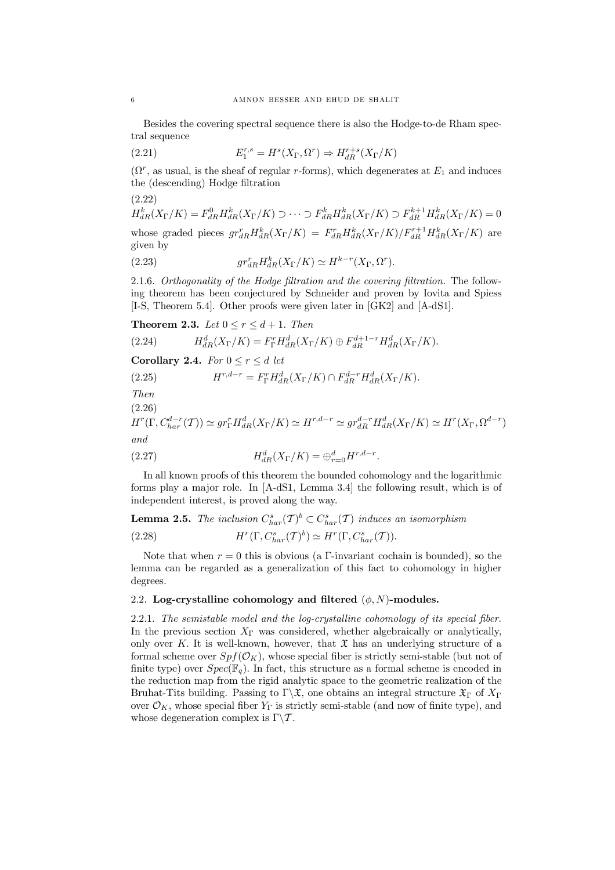Besides the covering spectral sequence there is also the Hodge-to-de Rham spectral sequence

(2.21) 
$$
E_1^{r,s} = H^s(X_{\Gamma}, \Omega^r) \Rightarrow H_{dR}^{r+s}(X_{\Gamma}/K)
$$

 $(\Omega^r)$ , as usual, is the sheaf of regular r-forms), which degenerates at  $E_1$  and induces the (descending) Hodge filtration

(2.22)

 $H_{dR}^{k}(X_{\Gamma}/K) = F_{dR}^{0}H_{dR}^{k}(X_{\Gamma}/K) \supset \cdots \supset F_{dR}^{k}H_{dR}^{k}(X_{\Gamma}/K) \supset F_{dR}^{k+1}H_{dR}^{k}(X_{\Gamma}/K) = 0$ whose graded pieces  $gr_{dR}^{r}H_{dR}^{k}(X_{\Gamma}/K) = F_{dR}^{r}H_{dR}^{k}(X_{\Gamma}/K)/F_{dR}^{r+1}H_{dR}^{k}(X_{\Gamma}/K)$  are given by

(2.23) 
$$
gr_{dR}^r H_{dR}^k(X_{\Gamma}/K) \simeq H^{k-r}(X_{\Gamma}, \Omega^r).
$$

2.1.6. *Orthogonality* of the Hodge filtration and the covering filtration. The following theorem has been conjectured by Schneider and proven by Iovita and Spiess [I-S, Theorem 5.4]. Other proofs were given later in [GK2] and [A-dS1].

**Theorem 2.3.** *Let*  $0 \le r \le d + 1$ . *Then* 

(2.24) 
$$
H_{dR}^d(X_{\Gamma}/K) = F_{\Gamma}^r H_{dR}^d(X_{\Gamma}/K) \oplus F_{dR}^{d+1-r} H_{dR}^d(X_{\Gamma}/K).
$$

**Corollary 2.4.** *For*  $0 \leq r \leq d$  *let* 

(2.25) 
$$
H^{r,d-r} = F_{\Gamma}^r H_{dR}^d(X_{\Gamma}/K) \cap F_{dR}^{d-r} H_{dR}^d(X_{\Gamma}/K).
$$

*Then*

(2.26)

$$
H^r(\Gamma, C_{har}^{d-r}(\mathcal{T})) \simeq gr_{\Gamma}^r H_{dR}^d(X_{\Gamma}/K) \simeq H^{r,d-r} \simeq gr_{dR}^{d-r} H_{dR}^d(X_{\Gamma}/K) \simeq H^r(X_{\Gamma}, \Omega^{d-r})
$$
  
and

(2.27) 
$$
H_{dR}^d(X_{\Gamma}/K) = \bigoplus_{r=0}^d H^{r,d-r}.
$$

In all known proofs of this theorem the bounded cohomology and the logarithmic forms play a major role. In [A-dS1, Lemma 3.4] the following result, which is of independent interest, is proved along the way.

**Lemma 2.5.** The inclusion  $C_{har}^s(\mathcal{T})^b \subset C_{har}^s(\mathcal{T})$  induces an isomorphism

(2.28) 
$$
H^r(\Gamma, C_{har}^s(\mathcal{T})^b) \simeq H^r(\Gamma, C_{har}^s(\mathcal{T})).
$$

Note that when  $r = 0$  this is obvious (a  $\Gamma$ -invariant cochain is bounded), so the lemma can be regarded as a generalization of this fact to cohomology in higher degrees.

# 2.2. Log-crystalline cohomology and filtered  $(\phi, N)$ -modules.

2.2.1. *The semistable model and the log-crystalline cohomology of its special …ber.* In the previous section  $X_{\Gamma}$  was considered, whether algebraically or analytically, only over K. It is well-known, however, that  $\mathfrak X$  has an underlying structure of a formal scheme over  $Spf(\mathcal{O}_K)$ , whose special fiber is strictly semi-stable (but not of finite type) over  $Spec(\mathbb{F}_q)$ . In fact, this structure as a formal scheme is encoded in the reduction map from the rigid analytic space to the geometric realization of the Bruhat-Tits building. Passing to  $\Gamma \backslash \mathfrak{X}$ , one obtains an integral structure  $\mathfrak{X}_{\Gamma}$  of  $X_{\Gamma}$ over  $\mathcal{O}_K$ , whose special fiber  $Y_{\Gamma}$  is strictly semi-stable (and now of finite type), and whose degeneration complex is  $\Gamma \backslash \mathcal{T}$ .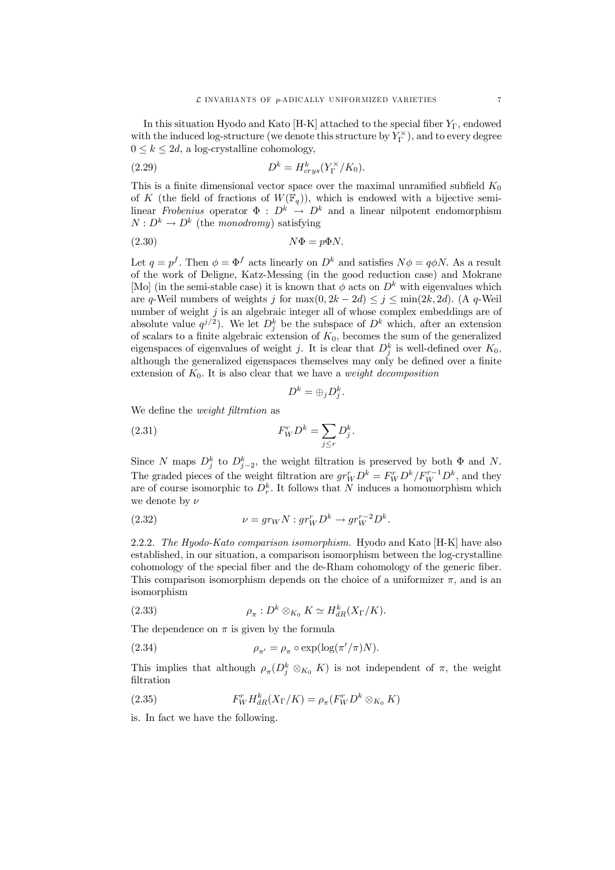In this situation Hyodo and Kato  $[H-K]$  attached to the special fiber  $Y_{\Gamma}$ , endowed with the induced log-structure (we denote this structure by  $Y_{\Gamma}^{\times}$ ), and to every degree  $0 \leq k \leq 2d$ , a log-crystalline cohomology,

(2.29) 
$$
D^k = H^k_{crys}(Y^{\times}_\Gamma/K_0).
$$

This is a finite dimensional vector space over the maximal unramified subfield  $K_0$ of K (the field of fractions of  $W(\mathbb{F}_q)$ ), which is endowed with a bijective semilinear *Frobenius* operator  $\Phi : D^k \to D^k$  and a linear nilpotent endomorphism  $N: D^k \to D^k$  (the *monodromy*) satisfying

$$
(2.30) \t\t N\Phi = p\Phi N.
$$

Let  $q = p^f$ . Then  $\phi = \Phi^f$  acts linearly on  $D^k$  and satisfies  $N\phi = q\phi N$ . As a result of the work of Deligne, Katz-Messing (in the good reduction case) and Mokrane [Mo] (in the semi-stable case) it is known that  $\phi$  acts on  $D^k$  with eigenvalues which are q-Weil numbers of weights j for  $\max(0, 2k - 2d) \le j \le \min(2k, 2d)$ . (A q-Weil number of weight  $j$  is an algebraic integer all of whose complex embeddings are of absolute value  $q^{j/2}$ ). We let  $D_j^k$  be the subspace of  $D^k$  which, after an extension of scalars to a finite algebraic extension of  $K_0$ , becomes the sum of the generalized eigenspaces of eigenvalues of weight j. It is clear that  $D_j^k$  is well-defined over  $K_0$ , although the generalized eigenspaces themselves may only be defined over a finite extension of  $K_0$ . It is also clear that we have a *weight decomposition* 

$$
D^k = \bigoplus_j D_j^k.
$$

We define the *weight* filtration as

$$
F_W^r D^k = \sum_{j \le r} D_j^k.
$$

Since N maps  $D_j^k$  to  $D_{j-2}^k$ , the weight filtration is preserved by both  $\Phi$  and N. The graded pieces of the weight filtration are  $gr_W^r D^k = F_W^r D^k / F_W^{r-1} D^k$ , and they are of course isomorphic to  $D_r^k$ . It follows that N induces a homomorphism which we denote by  $\nu$ 

(2.32) 
$$
\nu = gr_W N : gr_W^r D^k \to gr_W^{r-2} D^k.
$$

2.2.2. *The Hyodo-Kato comparison isomorphism.* Hyodo and Kato [H-K] have also established, in our situation, a comparison isomorphism between the log-crystalline cohomology of the special fiber and the de-Rham cohomology of the generic fiber. This comparison isomorphism depends on the choice of a uniformizer  $\pi$ , and is an isomorphism

(2.33) 
$$
\rho_{\pi}: D^k \otimes_{K_0} K \simeq H^k_{dR}(X_{\Gamma}/K).
$$

The dependence on  $\pi$  is given by the formula

(2.34) 
$$
\rho_{\pi'} = \rho_{\pi} \circ \exp(\log(\pi'/\pi)N).
$$

This implies that although  $\rho_{\pi}(D_j^k \otimes_{K_0} K)$  is not independent of  $\pi$ , the weight filtration

(2.35) 
$$
F_W^r H_{dR}^k(X_{\Gamma}/K) = \rho_{\pi}(F_W^r D^k \otimes_{K_0} K)
$$

is. In fact we have the following.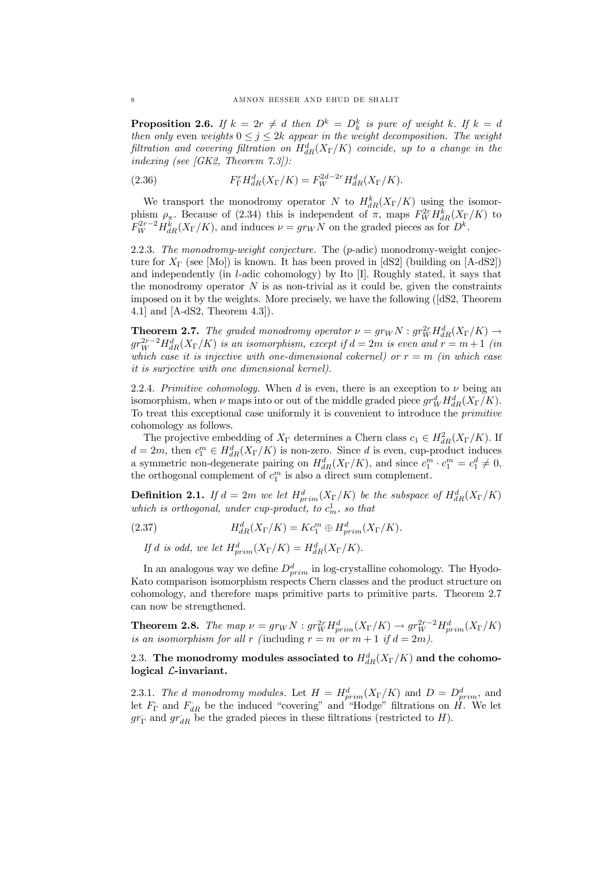**Proposition 2.6.** *If*  $k = 2r \neq d$  *then*  $D^k = D^k_k$  *is pure of weight* k. *If*  $k = d$ *then only* even *weights*  $0 \leq j \leq 2k$  *appear in the weight decomposition.* The *weight*  $\textit{filtration}$  *and covering*  $\textit{filtration}$  *on*  $H^d_{dR}(X_{\Gamma}/K)$  *coincide, up to a change in the indexing (see [GK2, Theorem 7.3]):*

(2.36) 
$$
F_{\Gamma}^{r} H_{dR}^{d}(X_{\Gamma}/K) = F_{W}^{2d-2r} H_{dR}^{d}(X_{\Gamma}/K).
$$

We transport the monodromy operator N to  $H_{dR}^k(X_{\Gamma}/K)$  using the isomorphism  $\rho_{\pi}$ . Because of (2.34) this is independent of  $\pi$ , maps  $F_W^{2r}H_{dR}^k(X_{\Gamma}/K)$  to  $F_W^{2r-2} H_{dR}^k(X_{\Gamma}/K)$ , and induces  $\nu = gr_W N$  on the graded pieces as for  $D^k$ .

2.2.3. *The monodromy-weight conjecture.* The (p-adic) monodromy-weight conjecture for  $X_{\Gamma}$  (see [Mo]) is known. It has been proved in [dS2] (building on [A-dS2]) and independently (in l-adic cohomology) by Ito [I]. Roughly stated, it says that the monodromy operator  $N$  is as non-trivial as it could be, given the constraints imposed on it by the weights. More precisely, we have the following ([dS2, Theorem 4.1] and [A-dS2, Theorem 4.3]).

**Theorem 2.7.** *The graded monodromy operator*  $\nu = gr_W N : gr_W^2 H_{dR}^d(X_{\Gamma}/K) \rightarrow$  $gr_W^{2r-2}H_{dR}^d(X_{\Gamma}/K)$  *is an isomorphism, except if*  $d=2m$  *is even and*  $r=m+1$  *(in which case it is injective with one-dimensional cokernel*) *or*  $r = m$  *(in which case it is surjective with one dimensional kernel).*

2.2.4. *Primitive cohomology.* When  $d$  is even, there is an exception to  $\nu$  being an isomorphism, when  $\nu$  maps into or out of the middle graded piece  $gr_W^d H_{dR}^d(X_{\Gamma}/K)$ . To treat this exceptional case uniformly it is convenient to introduce the *primitive* cohomology as follows.

The projective embedding of  $X_{\Gamma}$  determines a Chern class  $c_1 \in H_{dR}^2(X_{\Gamma}/K)$ . If  $d = 2m$ , then  $c_1^m \in H_{dR}^d(X_{\Gamma}/K)$  is non-zero. Since d is even, cup-product induces a symmetric non-degenerate pairing on  $H_{dR}^d(X_{\Gamma}/K)$ , and since  $c_1^m \cdot c_1^m = c_1^d \neq 0$ , the orthogonal complement of  $c_1^m$  is also a direct sum complement.

**Definition 2.1.** If  $d = 2m$  we let  $H_{prim}^d(X_{\Gamma}/K)$  be the subspace of  $H_{dR}^d(X_{\Gamma}/K)$ *which is orthogonal, under cup-product, to*  $c_m^1$ *, so that* 

(2.37) 
$$
H_{dR}^d(X_{\Gamma}/K) = K c_1^m \oplus H_{prim}^d(X_{\Gamma}/K).
$$

*If d is odd, we let*  $H_{prim}^d(X_{\Gamma}/K) = H_{dR}^d(X_{\Gamma}/K)$ .

In an analogous way we define  $D_{prim}^d$  in log-crystalline cohomology. The Hyodo-Kato comparison isomorphism respects Chern classes and the product structure on cohomology, and therefore maps primitive parts to primitive parts. Theorem 2.7 can now be strengthened.

**Theorem 2.8.** *The map*  $\nu = gr_W N$  :  $gr_W^2 H_{prim}^d(X_\Gamma/K) \to gr_W^{2r-2} H_{prim}^d(X_\Gamma/K)$ *is* an *isomorphism* for all r (including  $r = m$  or  $m + 1$  if  $d = 2m$ ).

# 2.3. The monodromy modules associated to  $H^d_{dR}(X_{\Gamma}/K)$  and the cohomological L-invariant.

2.3.1. *The d* monodromy modules. Let  $H = H^d_{prim}(X_{\Gamma}/K)$  and  $D = D^d_{prim}$ , and let  $F_{\Gamma}$  and  $F_{dR}$  be the induced "covering" and "Hodge" filtrations on H. We let  $gr_{\Gamma}$  and  $gr_{dR}$  be the graded pieces in these filtrations (restricted to H).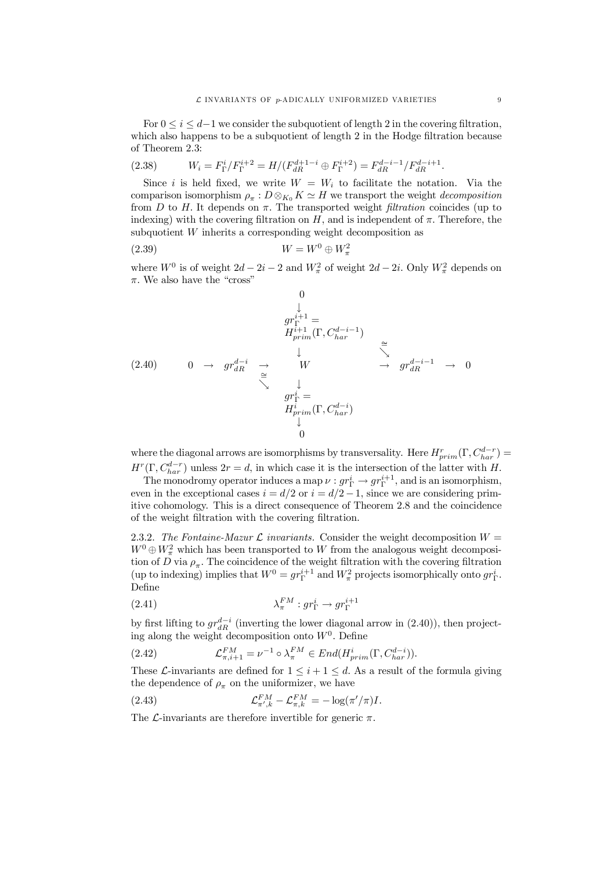For  $0 \leq i \leq d-1$  we consider the subquotient of length 2 in the covering filtration, which also happens to be a subquotient of length  $2$  in the Hodge filtration because of Theorem 2.3:

(2.38) 
$$
W_i = F_{\Gamma}^i / F_{\Gamma}^{i+2} = H / (F_{dR}^{d+1-i} \oplus F_{\Gamma}^{i+2}) = F_{dR}^{d-i-1} / F_{dR}^{d-i+1}.
$$

Since i is held fixed, we write  $W = W_i$  to facilitate the notation. Via the comparison isomorphism  $\rho_{\pi}: D \otimes_{K_0} K \simeq H$  we transport the weight *decomposition* from  $D$  to  $H$ . It depends on  $\pi$ . The transported weight *filtration* coincides (up to indexing) with the covering filtration on  $H$ , and is independent of  $\pi$ . Therefore, the subquotient W inherits a corresponding weight decomposition as

$$
(2.39) \t\t W = W^0 \oplus W^2_{\pi}
$$

where  $W^0$  is of weight  $2d - 2i - 2$  and  $W^2_{\pi}$  of weight  $2d - 2i$ . Only  $W^2_{\pi}$  depends on  $\pi.$  We also have the "cross"

$$
\begin{array}{cccc}\n & 0 & & & \\
 & & \downarrow & & \\
 & gr^{i+1}_{prim} & \text{or} & \\
 & H^{i+1}_{prim}(\Gamma, C^{d-i-1}_{har}) & \cong \\
 & & \downarrow & \searrow & \\
 & & \searrow & \downarrow & \\
 & & \searrow & gr^{d-i-1}_{dR} & \rightarrow & 0 \\
 & & \searrow & & \\
 & & \searrow & & \\
 & gr^{i}_{\Gamma} & = & \\
 & H^{i}_{prim}(\Gamma, C^{d-i}_{har}) & \downarrow & \\
 & & 0 & \n\end{array}
$$

where the diagonal arrows are isomorphisms by transversality. Here  $H^r_{prim}(\Gamma, C^{d-r}_{har}) =$  $H^r(\Gamma, C_{har}^{d-r})$  unless  $2r = d$ , in which case it is the intersection of the latter with H.

The monodromy operator induces a map  $\nu : gr_{\Gamma}^{i} \to gr_{\Gamma}^{i+1}$ , and is an isomorphism, even in the exceptional cases  $i = d/2$  or  $i = d/2 - 1$ , since we are considering primitive cohomology. This is a direct consequence of Theorem 2.8 and the coincidence of the weight filtration with the covering filtration.

2.3.2. *The Fontaine-Mazur*  $\mathcal L$  *invariants.* Consider the weight decomposition  $W =$  $W^0 \oplus W^2_{\pi}$  which has been transported to W from the analogous weight decomposition of D via  $\rho_{\pi}$ . The coincidence of the weight filtration with the covering filtration (up to indexing) implies that  $W^0 = gr_{\Gamma}^{i+1}$  and  $W_{\pi}^2$  projects isomorphically onto  $gr_{\Gamma}^i$ . Define

(2.41) 
$$
\lambda_{\pi}^{FM}: gr_{\Gamma}^{i} \to gr_{\Gamma}^{i+1}
$$

by first lifting to  $gr_{dR}^{d-i}$  (inverting the lower diagonal arrow in (2.40)), then projecting along the weight decomposition onto  $W<sup>0</sup>$ . Define

(2.42) 
$$
\mathcal{L}_{\pi,i+1}^{FM} = \nu^{-1} \circ \lambda_{\pi}^{FM} \in End(H_{prim}^i(\Gamma, C_{har}^{d-i})).
$$

These *L*-invariants are defined for  $1 \leq i + 1 \leq d$ . As a result of the formula giving the dependence of  $\rho_{\pi}$  on the uniformizer, we have

(2.43) 
$$
\mathcal{L}_{\pi',k}^{FM} - \mathcal{L}_{\pi,k}^{FM} = -\log(\pi'/\pi)I.
$$

The *L*-invariants are therefore invertible for generic  $\pi$ .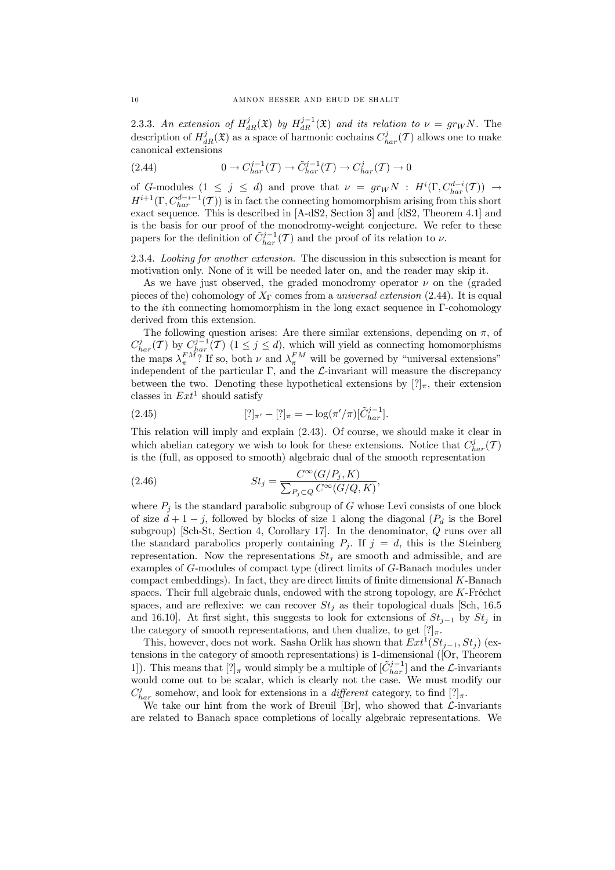2.3.3. An extension of  $H_{dR}^j(\mathfrak{X})$  by  $H_{dR}^{j-1}(\mathfrak{X})$  and its relation to  $\nu = gr_W N$ . The description of  $H^j_{dR}(\mathfrak{X})$  as a space of harmonic cochains  $C^j_{har}(\mathcal{T})$  allows one to make canonical extensions

(2.44) 
$$
0 \to C_{har}^{j-1}(\mathcal{T}) \to \tilde{C}_{har}^{j-1}(\mathcal{T}) \to C_{har}^j(\mathcal{T}) \to 0
$$

of G-modules  $(1 \leq j \leq d)$  and prove that  $\nu = gr_W N$ :  $H^i(\Gamma, C_{har}^{d-i}(\mathcal{T})) \rightarrow$  $H^{i+1}(\Gamma, C_{har}^{d-i-1}(\mathcal{T}))$  is in fact the connecting homomorphism arising from this short exact sequence. This is described in [A-dS2, Section 3] and [dS2, Theorem 4.1] and is the basis for our proof of the monodromy-weight conjecture. We refer to these papers for the definition of  $\tilde{C}_{har}^{j-1}(\mathcal{T})$  and the proof of its relation to  $\nu$ .

2.3.4. *Looking for another extension.* The discussion in this subsection is meant for motivation only. None of it will be needed later on, and the reader may skip it.

As we have just observed, the graded monodromy operator  $\nu$  on the (graded pieces of the) cohomology of  $X_{\Gamma}$  comes from a *universal extension* (2.44). It is equal to the *i*th connecting homomorphism in the long exact sequence in  $\Gamma$ -cohomology derived from this extension.

The following question arises: Are there similar extensions, depending on  $\pi$ , of  $C_{har}^j(T)$  by  $C_{har}^{j-1}(T)$   $(1 \leq j \leq d)$ , which will yield as connecting homomorphisms the maps  $\lambda_{\pi}^{FM}$ ? If so, both  $\nu$  and  $\lambda_{\pi}^{FM}$  will be governed by "universal extensions" independent of the particular  $\Gamma$ , and the  $\mathcal L$ -invariant will measure the discrepancy between the two. Denoting these hypothetical extensions by  $[?]_\pi$ , their extension classes in  $Ext<sup>1</sup>$  should satisfy

(2.45) 
$$
[?]_{\pi'} - [?]_{\pi} = -\log(\pi'/\pi)[\tilde{C}_{har}^{j-1}].
$$

This relation will imply and explain (2.43). Of course, we should make it clear in which abelian category we wish to look for these extensions. Notice that  $C_{har}^j(\mathcal{T})$ is the (full, as opposed to smooth) algebraic dual of the smooth representation

(2.46) 
$$
St_j = \frac{C^{\infty}(G/P_j, K)}{\sum_{P_j \subset Q} C^{\infty}(G/Q, K)},
$$

where  $P_j$  is the standard parabolic subgroup of G whose Levi consists of one block of size  $d + 1 - j$ , followed by blocks of size 1 along the diagonal  $(P_d$  is the Borel subgroup) [Sch-St, Section 4, Corollary 17]. In the denominator, Q runs over all the standard parabolics properly containing  $P_j$ . If  $j = d$ , this is the Steinberg representation. Now the representations  $St_j$  are smooth and admissible, and are examples of G-modules of compact type (direct limits of G-Banach modules under  $compat$  embeddings). In fact, they are direct limits of finite dimensional  $K$ -Banach spaces. Their full algebraic duals, endowed with the strong topology, are K-Fréchet spaces, and are reflexive: we can recover  $St_i$  as their topological duals [Sch, 16.5] and 16.10]. At first sight, this suggests to look for extensions of  $St_{j-1}$  by  $St_j$  in the category of smooth representations, and then dualize, to get  $[?]_{\pi}$ .

This, however, does not work. Sasha Orlik has shown that  $Ext^1(St_{j-1}, St_j)$  (extensions in the category of smooth representations) is 1-dimensional ([Or, Theorem 1]). This means that  $[?]_{\pi}$  would simply be a multiple of  $[\tilde{C}_{har}^{j-1}]$  and the  $\mathcal{L}$ -invariants would come out to be scalar, which is clearly not the case. We must modify our  $C_{har}^j$  somehow, and look for extensions in a *different* category, to find  $[?]_{\pi}$ .

We take our hint from the work of Breuil [Br], who showed that  $\mathcal{L}$ -invariants are related to Banach space completions of locally algebraic representations. We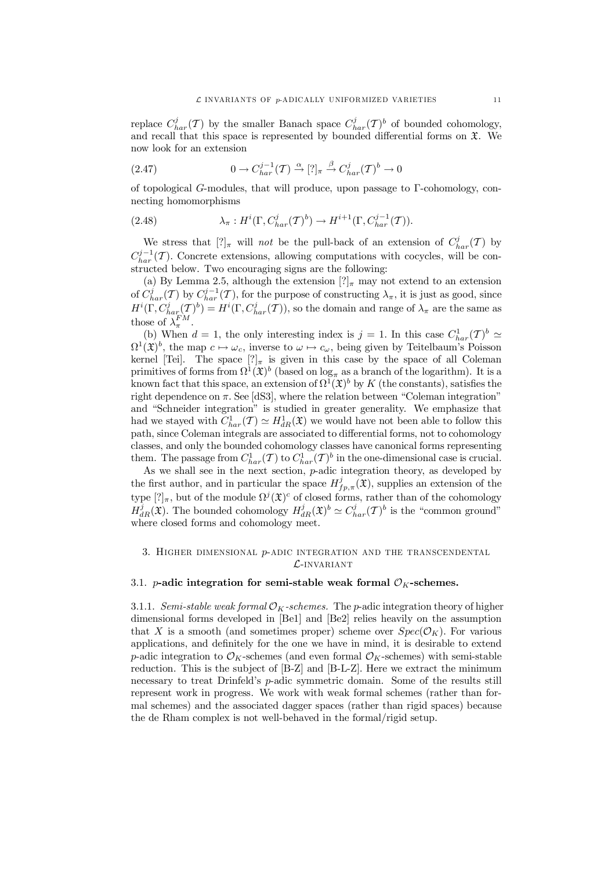replace  $C_{har}^j(\mathcal{T})$  by the smaller Banach space  $C_{har}^j(\mathcal{T})^b$  of bounded cohomology, and recall that this space is represented by bounded differential forms on  $\mathfrak{X}$ . We now look for an extension

(2.47) 
$$
0 \to C_{har}^{j-1}(\mathcal{T}) \stackrel{\alpha}{\to} [?]_{\pi} \stackrel{\beta}{\to} C_{har}^{j}(\mathcal{T})^b \to 0
$$

of topological G-modules, that will produce, upon passage to  $\Gamma$ -cohomology, connecting homomorphisms

(2.48) 
$$
\lambda_{\pi}: H^i(\Gamma, C^j_{har}(\mathcal{T})^b) \to H^{i+1}(\Gamma, C^{j-1}_{har}(\mathcal{T})).
$$

We stress that  $[?]_{\pi}$  will *not* be the pull-back of an extension of  $C_{har}^j(\mathcal{T})$  by  $C_{har}^{j-1}(\mathcal{T})$ . Concrete extensions, allowing computations with cocycles, will be constructed below. Two encouraging signs are the following:

(a) By Lemma 2.5, although the extension  $[?]_{\pi}$  may not extend to an extension of  $C_{har}^j(\mathcal{T})$  by  $C_{har}^{j-1}(\mathcal{T})$ , for the purpose of constructing  $\lambda_{\pi}$ , it is just as good, since  $H^i(\Gamma, C_{har}^j(\mathcal{I}))^b) = H^i(\Gamma, C_{har}^j(\mathcal{I}))$ , so the domain and range of  $\lambda_{\pi}$  are the same as those of  $\lambda_{\pi}^{FM}$ .

(b) When  $d = 1$ , the only interesting index is  $j = 1$ . In this case  $C_{har}^1(\mathcal{T})^b \simeq$  $\Omega^1(\mathfrak{X})^b$ , the map  $c \mapsto \omega_c$ , inverse to  $\omega \mapsto c_{\omega}$ , being given by Teitelbaum's Poisson kernel [Tei]. The space  $[?]_{\pi}$  is given in this case by the space of all Coleman primitives of forms from  $\Omega^1(\mathfrak{X})^b$  (based on  $\log_{\pi}$  as a branch of the logarithm). It is a known fact that this space, an extension of  $\Omega^1(\mathfrak{X})^b$  by K (the constants), satisfies the right dependence on  $\pi$ . See [dS3], where the relation between "Coleman integration" and "Schneider integration" is studied in greater generality. We emphasize that had we stayed with  $C_{har}^1(\mathcal{I}) \simeq H_{dR}^1(\mathfrak{X})$  we would have not been able to follow this path, since Coleman integrals are associated to differential forms, not to cohomology classes, and only the bounded cohomology classes have canonical forms representing them. The passage from  $C_{har}^1(\mathcal{T})$  to  $C_{har}^1(\mathcal{T})^b$  in the one-dimensional case is crucial.

As we shall see in the next section,  $p$ -adic integration theory, as developed by the first author, and in particular the space  $H^j_{fp,\pi}(\mathfrak{X})$ , supplies an extension of the type  $[?]_{\pi}$ , but of the module  $\Omega^{j}(\mathfrak{X})^c$  of closed forms, rather than of the cohomology  $H_{dR}^j(\mathfrak{X})$ . The bounded cohomology  $H_{dR}^j(\mathfrak{X})^b \simeq C_{har}^j(\mathcal{T})^b$  is the "common ground" where closed forms and cohomology meet.

# 3. HIGHER DIMENSIONAL  $p$ -ADIC INTEGRATION AND THE TRANSCENDENTAL  $\mathcal{L}$ -invariant

## 3.1. *p*-adic integration for semi-stable weak formal  $\mathcal{O}_K$ -schemes.

3.1.1. *Semi-stable* weak *formal*  $\mathcal{O}_K$ -schemes. The *p*-adic integration theory of higher dimensional forms developed in [Be1] and [Be2] relies heavily on the assumption that X is a smooth (and sometimes proper) scheme over  $Spec(\mathcal{O}_K)$ . For various applications, and definitely for the one we have in mind, it is desirable to extend p-adic integration to  $\mathcal{O}_K$ -schemes (and even formal  $\mathcal{O}_K$ -schemes) with semi-stable reduction. This is the subject of [B-Z] and [B-L-Z]. Here we extract the minimum necessary to treat Drinfeld's p-adic symmetric domain. Some of the results still represent work in progress. We work with weak formal schemes (rather than formal schemes) and the associated dagger spaces (rather than rigid spaces) because the de Rham complex is not well-behaved in the formal/rigid setup.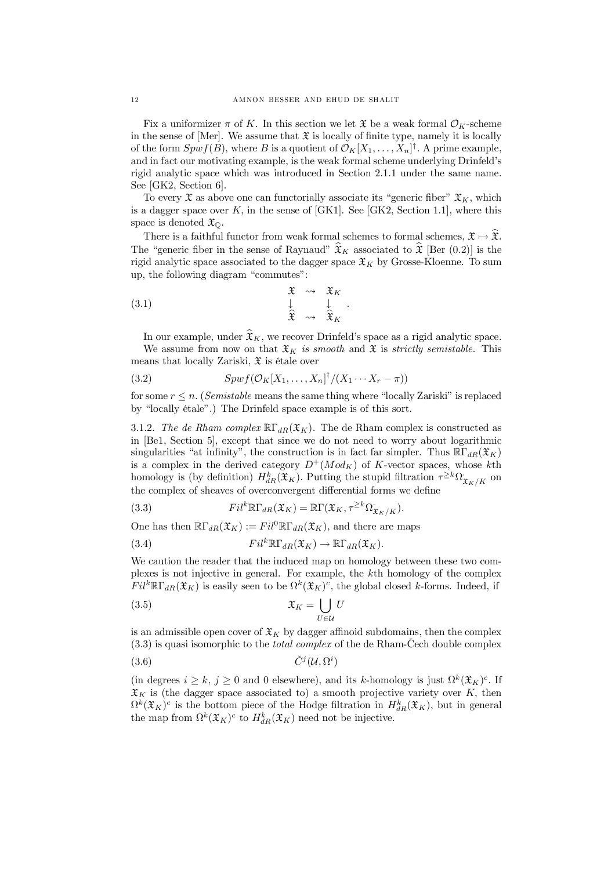Fix a uniformizer  $\pi$  of K. In this section we let  $\mathfrak X$  be a weak formal  $\mathcal O_K$ -scheme in the sense of  $[Mer]$ . We assume that  $\mathfrak X$  is locally of finite type, namely it is locally of the form  $Spwf(B)$ , where B is a quotient of  $\mathcal{O}_K[X_1, \ldots, X_n]^{\dagger}$ . A prime example, and in fact our motivating example, is the weak formal scheme underlying Drinfeld's rigid analytic space which was introduced in Section 2.1.1 under the same name. See [GK2, Section 6].

To every  $\mathfrak X$  as above one can functorially associate its "generic fiber"  $\mathfrak X_K$ , which is a dagger space over  $K$ , in the sense of [GK1]. See [GK2, Section 1.1], where this space is denoted  $\mathfrak{X}_{\mathbb{Q}}$ .

There is a faithful functor from weak formal schemes to formal schemes,  $\mathfrak{X} \mapsto \widehat{\mathfrak{X}}$ . The "generic fiber in the sense of Raynaud"  $\hat{\mathfrak{X}}_K$  associated to  $\hat{\mathfrak{X}}$  [Ber (0.2)] is the rigid analytic space associated to the dagger space  $\mathfrak{X}_K$  by Grosse-Kloenne. To sum up, the following diagram "commutes":

(3.1) 
$$
\begin{array}{cccc}\n\mathfrak{X} & \rightsquigarrow & \mathfrak{X}_K \\
\downarrow & & \downarrow \\
\hat{\mathfrak{X}} & \rightsquigarrow & \hat{\mathfrak{X}}_K\n\end{array}.
$$

In our example, under  $\widehat{\mathfrak{X}}_K$ , we recover Drinfeld's space as a rigid analytic space. We assume from now on that  $\mathfrak{X}_K$  *is smooth* and  $\mathfrak{X}$  *is strictly semistable.* This means that locally Zariski,  $\mathfrak X$  is étale over

(3.2) 
$$
Spwf(\mathcal{O}_K[X_1,\ldots,X_n]^{\dagger}/(X_1\cdots X_r-\pi))
$$

for some  $r \leq n$ . (*Semistable* means the same thing where "locally Zariski" is replaced by "locally étale".) The Drinfeld space example is of this sort.

3.1.2. The de Rham complex  $\mathbb{R}\Gamma_{dR}(\mathfrak{X}_K)$ . The de Rham complex is constructed as in [Be1, Section 5], except that since we do not need to worry about logarithmic singularities "at infinity", the construction is in fact far simpler. Thus  $\mathbb{R} \Gamma_{dR}(\mathfrak{X}_K)$ is a complex in the derived category  $D^+(Mod_K)$  of K-vector spaces, whose kth homology is (by definition)  $H_{dR}^k(\mathfrak{X}_K)$ . Putting the stupid filtration  $\tau^{\geq k}\Omega_{\mathfrak{X}_K/K}$  on the complex of sheaves of overconvergent differential forms we define

(3.3) 
$$
Fil^{k}\mathbb{R}\Gamma_{dR}(\mathfrak{X}_{K})=\mathbb{R}\Gamma(\mathfrak{X}_{K},\tau^{\geq k}\Omega_{\mathfrak{X}_{K}/K}).
$$

One has then  $\mathbb{R}\Gamma_{dR}(\mathfrak{X}_K) := Fil^0\mathbb{R}\Gamma_{dR}(\mathfrak{X}_K)$ , and there are maps

(3.4) 
$$
Fil^{k}\mathbb{R}\Gamma_{dR}(\mathfrak{X}_{K})\to\mathbb{R}\Gamma_{dR}(\mathfrak{X}_{K}).
$$

We caution the reader that the induced map on homology between these two complexes is not injective in general. For example, the kth homology of the complex  $Fil^k\mathbb{R}\Gamma_{dR}(\mathfrak{X}_K)$  is easily seen to be  $\Omega^k(\mathfrak{X}_K)^c$ , the global closed k-forms. Indeed, if

$$
\mathfrak{X}_K = \bigcup_{U \in \mathcal{U}} U
$$

is an admissible open cover of  $\mathfrak{X}_K$  by dagger affinoid subdomains, then the complex  $(3.3)$  is quasi isomorphic to the *total complex* of the de Rham-Cech double complex

$$
(3.6) \t\t \tilde{C}^j(\mathcal{U}, \Omega^i)
$$

(in degrees  $i \geq k$ ,  $j \geq 0$  and 0 elsewhere), and its k-homology is just  $\Omega^k(\mathfrak{X}_K)^c$ . If  $\mathfrak{X}_K$  is (the dagger space associated to) a smooth projective variety over K, then  $\Omega^k(\mathfrak{X}_K)^c$  is the bottom piece of the Hodge filtration in  $H^k_{dR}(\mathfrak{X}_K)$ , but in general the map from  $\Omega^k(\mathfrak{X}_K)^c$  to  $H^k_{dR}(\mathfrak{X}_K)$  need not be injective.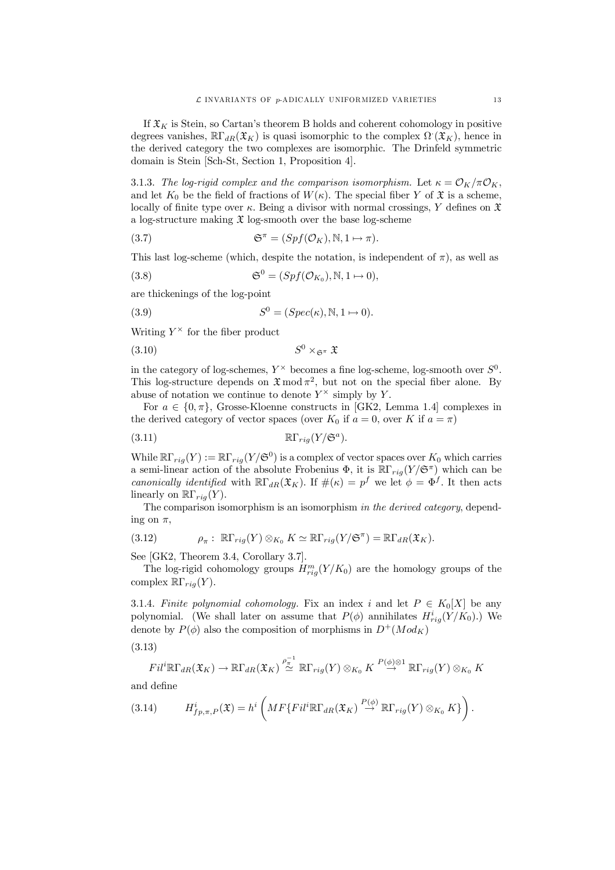If  $\mathfrak{X}_K$  is Stein, so Cartan's theorem B holds and coherent cohomology in positive degrees vanishes,  $\mathbb{R}\Gamma_{dR}(\mathfrak{X}_K)$  is quasi isomorphic to the complex  $\Omega(\mathfrak{X}_K)$ , hence in the derived category the two complexes are isomorphic. The Drinfeld symmetric domain is Stein [Sch-St, Section 1, Proposition 4].

3.1.3. The log-rigid complex and the comparison isomorphism. Let  $\kappa = \mathcal{O}_K/\pi \mathcal{O}_K$ , and let  $K_0$  be the field of fractions of  $W(\kappa)$ . The special fiber Y of  $\mathfrak X$  is a scheme, locally of finite type over  $\kappa$ . Being a divisor with normal crossings, Y defines on  $\mathfrak X$ a log-structure making  $\mathfrak X$  log-smooth over the base log-scheme

(3.7) 
$$
\mathfrak{S}^{\pi} = (Spf(\mathcal{O}_{K}), \mathbb{N}, 1 \mapsto \pi).
$$

This last log-scheme (which, despite the notation, is independent of  $\pi$ ), as well as

(3.8) 
$$
\mathfrak{S}^0 = (Spf(\mathcal{O}_{K_0}), \mathbb{N}, 1 \mapsto 0),
$$

are thickenings of the log-point

(3.9) 
$$
S^0 = (Spec(\kappa), \mathbb{N}, 1 \mapsto 0).
$$

Writing  $Y^{\times}$  for the fiber product

$$
(3.10) \t\t S0 \times_{\mathfrak{S}^{\pi}} \mathfrak{X}
$$

in the category of log-schemes,  $Y^{\times}$  becomes a fine log-scheme, log-smooth over  $S^0$ . This log-structure depends on  $\mathfrak{X} \mod \pi^2$ , but not on the special fiber alone. By abuse of notation we continue to denote  $Y^{\times}$  simply by Y.

For  $a \in \{0, \pi\}$ , Grosse-Kloenne constructs in [GK2, Lemma 1.4] complexes in the derived category of vector spaces (over  $K_0$  if  $a = 0$ , over K if  $a = \pi$ )

$$
\mathbb{R}\Gamma_{rig}(Y/\mathfrak{S}^a).
$$

While  $\mathbb{R}\Gamma_{rig}(Y):=\mathbb{R}\Gamma_{rig}(Y/{\mathfrak{S}}^{0})$  is a complex of vector spaces over  $K_{0}$  which carries a semi-linear action of the absolute Frobenius  $\Phi$ , it is  $\mathbb{R}\Gamma_{rig}(Y/\mathfrak{S}^{\pi})$  which can be *canonically identified* with  $\mathbb{R}\Gamma_{dR}(\mathfrak{X}_K)$ . If  $\#(\kappa) = p^f$  we let  $\phi = \Phi^f$ . It then acts linearly on  $\mathbb{R}\Gamma_{\text{rig}}(Y)$ .

The comparison isomorphism is an isomorphism *in the derived category*, depending on  $\pi$ ,

(3.12) 
$$
\rho_{\pi}: \ \mathbb{R}\Gamma_{rig}(Y)\otimes_{K_0}K\simeq \mathbb{R}\Gamma_{rig}(Y/\mathfrak{S}^{\pi})=\mathbb{R}\Gamma_{dR}(\mathfrak{X}_K).
$$

See [GK2, Theorem 3.4, Corollary 3.7].

The log-rigid cohomology groups  $H_{rig}^m(Y/K_0)$  are the homology groups of the complex  $\mathbb{R}\Gamma_{\text{rig}}(Y)$ .

3.1.4. *Finite polynomial cohomology*. Fix an index i and let  $P \in K_0[X]$  be any polynomial. (We shall later on assume that  $P(\phi)$  annihilates  $H_{rig}^i(Y/K_0)$ .) We denote by  $P(\phi)$  also the composition of morphisms in  $D^+(Mod_K)$ 

(3.13)

$$
Fil^{i}\mathbb{R}\Gamma_{dR}(\mathfrak{X}_{K})\to\mathbb{R}\Gamma_{dR}(\mathfrak{X}_{K})\stackrel{\rho_{\pi}^{-1}}{\simeq}\mathbb{R}\Gamma_{rig}(Y)\otimes_{K_{0}}K\stackrel{P(\phi)\otimes 1}{\to}\mathbb{R}\Gamma_{rig}(Y)\otimes_{K_{0}}K
$$

and define

(3.14) 
$$
H^i_{fp,\pi,P}(\mathfrak{X})=h^i\left(MF\{Fil^i\mathbb{R}\Gamma_{dR}(\mathfrak{X}_K)\stackrel{P(\phi)}{\to}\mathbb{R}\Gamma_{rig}(Y)\otimes_{K_0}K\}\right).
$$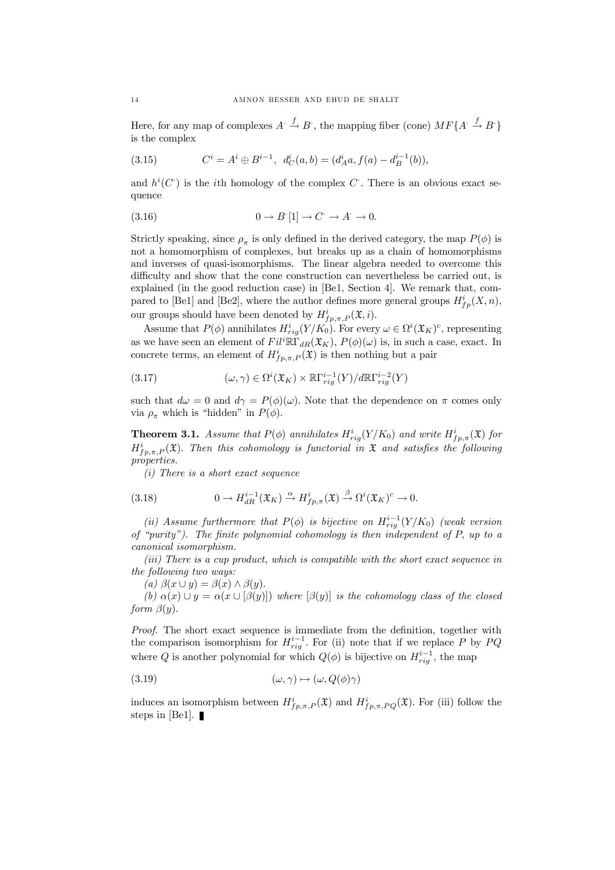Here, for any map of complexes  $A: \xrightarrow{f} B$ , the mapping fiber (cone)  $MF\{A: \xrightarrow{f} B^*\}$ is the complex

(3.15) 
$$
C^i = A^i \oplus B^{i-1}, \quad d_C^i(a, b) = (d_A^i a, f(a) - d_B^{i-1}(b)),
$$

and  $h^{i}(C)$  is the *i*th homology of the complex C<sup> $\cdot$ </sup>. There is an obvious exact sequence

(3.16) 
$$
0 \to B'[1] \to C^{\cdot} \to A^{\cdot} \to 0.
$$

Strictly speaking, since  $\rho_{\pi}$  is only defined in the derived category, the map  $P(\phi)$  is not a homomorphism of complexes, but breaks up as a chain of homomorphisms and inverses of quasi-isomorphisms. The linear algebra needed to overcome this difficulty and show that the cone construction can nevertheless be carried out, is explained (in the good reduction case) in [Be1, Section 4]. We remark that, compared to [Be1] and [Be2], where the author defines more general groups  $H^i_{fp}(X,n)$ , our groups should have been denoted by  $H^i_{fp,\pi,P}(\mathfrak{X},i)$ .

Assume that  $P(\phi)$  annihilates  $H_{rig}^i(Y/K_0)$ . For every  $\omega \in \Omega^i(\mathfrak{X}_K)^c$ , representing as we have seen an element of  $Fil^i\mathbb{R}\Gamma_{dR}(\mathfrak{X}_K), P(\phi)(\omega)$  is, in such a case, exact. In concrete terms, an element of  $H^i_{fp,\pi,P}(\mathfrak{X})$  is then nothing but a pair

(3.17) 
$$
(\omega, \gamma) \in \Omega^{i}(\mathfrak{X}_{K}) \times \mathbb{R}\Gamma_{rig}^{i-1}(Y)/d\mathbb{R}\Gamma_{rig}^{i-2}(Y)
$$

such that  $d\omega = 0$  and  $d\gamma = P(\phi)(\omega)$ . Note that the dependence on  $\pi$  comes only via  $\rho_{\pi}$  which is "hidden" in  $P(\phi)$ .

**Theorem 3.1.** Assume that  $P(\phi)$  annihilates  $H_{rig}^i(Y/K_0)$  and write  $H_{fp,\pi}^i(\mathfrak{X})$  for  $H^i_{fp,\pi,P}(\mathfrak{X})$ . Then this cohomology is functorial in X and satisfies the following *properties.*

*(i) There is a short exact sequence*

(3.18) 
$$
0 \to H_{dR}^{i-1}(\mathfrak{X}_K) \xrightarrow{\alpha} H_{fp,\pi}^i(\mathfrak{X}) \xrightarrow{\beta} \Omega^i(\mathfrak{X}_K)^c \to 0.
$$

(*ii*) *Assume* furthermore that  $P(\phi)$  is bijective on  $H_{rig}^{i-1}(Y/K_0)$  (weak version *of "purity"). The …nite polynomial cohomology is then independent of* P; *up to a canonical isomorphism.*

*(iii) There is a cup product, which is compatible with the short exact sequence in the following two ways:*

(a) 
$$
\beta(x \cup y) = \beta(x) \land \beta(y)
$$
.

 $(b)$   $\alpha(x) \cup y = \alpha(x \cup [\beta(y)])$  *where*  $[\beta(y)]$  *is the cohomology class of the closed form*  $\beta(y)$ .

Proof. The short exact sequence is immediate from the definition, together with the comparison isomorphism for  $H_{rig}^{i-1}$ . For (ii) note that if we replace P by PQ where Q is another polynomial for which  $Q(\phi)$  is bijective on  $H_{rig}^{i-1}$ , the map

(3.19) 
$$
(\omega, \gamma) \mapsto (\omega, Q(\phi)\gamma)
$$

induces an isomorphism between  $H^i_{fp,\pi,P}(\mathfrak{X})$  and  $H^i_{fp,\pi,PQ}(\mathfrak{X})$ . For (iii) follow the steps in [Be1].  $\blacksquare$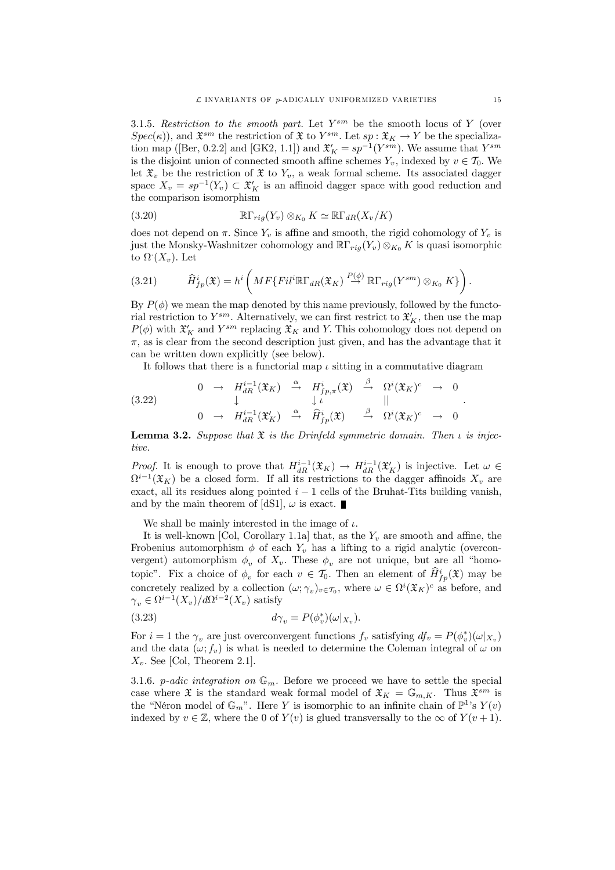3.1.5. *Restriction to the smooth part.* Let  $Y^{sm}$  be the smooth locus of Y (over  $Spec(\kappa)$ , and  $\mathfrak{X}^{sm}$  the restriction of  $\mathfrak{X}$  to  $Y^{sm}$ . Let  $sp: \mathfrak{X}_K \to Y$  be the specialization map ([Ber, 0.2.2] and [GK2, 1.1]) and  $\mathfrak{X}'_K = sp^{-1}(Y^{sm})$ . We assume that  $Y^{sm}$ is the disjoint union of connected smooth affine schemes  $Y_v$ , indexed by  $v \in \mathcal{T}_0$ . We let  $\mathfrak{X}_v$  be the restriction of  $\mathfrak{X}$  to  $Y_v$ , a weak formal scheme. Its associated dagger space  $X_v = sp^{-1}(Y_v) \subset \mathfrak{X}'_K$  is an affinoid dagger space with good reduction and the comparison isomorphism

(3.20) 
$$
\mathbb{R}\Gamma_{rig}(Y_v)\otimes_{K_0}K\simeq \mathbb{R}\Gamma_{dR}(X_v/K)
$$

does not depend on  $\pi$ . Since  $Y_v$  is affine and smooth, the rigid cohomology of  $Y_v$  is just the Monsky-Washnitzer cohomology and  $\mathbb{R}\Gamma_{riq}(Y_v)\otimes_{K_0} K$  is quasi isomorphic to  $\Omega$   $(X_v)$ . Let

(3.21) 
$$
\widehat{H}_{fp}^{i}(\mathfrak{X})=h^{i}\left(MF\{Fil^{i}\mathbb{R}\Gamma_{dR}(\mathfrak{X}_{K})\stackrel{P(\phi)}{\rightarrow}\mathbb{R}\Gamma_{rig}(Y^{sm})\otimes_{K_{0}}K\}\right).
$$

By  $P(\phi)$  we mean the map denoted by this name previously, followed by the functorial restriction to  $Y^{sm}$ . Alternatively, we can first restrict to  $\mathfrak{X}'_K$ , then use the map  $P(\phi)$  with  $\mathfrak{X}'_K$  and  $Y^{sm}$  replacing  $\mathfrak{X}_K$  and Y. This cohomology does not depend on  $\pi$ , as is clear from the second description just given, and has the advantage that it can be written down explicitly (see below).

It follows that there is a functorial map  $\iota$  sitting in a commutative diagram

(3.22) 
$$
\begin{array}{ccccccccc}\n0 & \rightarrow & H_{dR}^{i-1}(\mathfrak{X}_K) & \xrightarrow{\alpha} & H_{fp,\pi}^i(\mathfrak{X}) & \xrightarrow{\beta} & \Omega^i(\mathfrak{X}_K)^c & \rightarrow & 0 \\
& & \downarrow & & \downarrow \iota & & || & & \n\end{array}
$$

$$
\begin{array}{ccccccccc}\n0 & \rightarrow & H_{dR}^{i-1}(\mathfrak{X}'_K) & \xrightarrow{\alpha} & \widehat{H}_{fp}^i(\mathfrak{X}) & \xrightarrow{\beta} & \Omega^i(\mathfrak{X}_K)^c & \rightarrow & 0\n\end{array}
$$

**Lemma 3.2.** Suppose that  $\mathfrak{X}$  is the Drinfeld symmetric domain. Then  $\iota$  is injec*tive.*

*Proof.* It is enough to prove that  $H_{dR}^{i-1}(\mathfrak{X}_K) \to H_{dR}^{i-1}(\mathfrak{X}'_K)$  is injective. Let  $\omega \in$  $\Omega^{i-1}(\mathfrak{X}_K)$  be a closed form. If all its restrictions to the dagger affinoids  $X_v$  are exact, all its residues along pointed  $i - 1$  cells of the Bruhat-Tits building vanish, and by the main theorem of [dS1],  $\omega$  is exact.

We shall be mainly interested in the image of  $\iota$ .

It is well-known [Col, Corollary 1.1a] that, as the  $Y_v$  are smooth and affine, the Frobenius automorphism  $\phi$  of each  $Y_v$  has a lifting to a rigid analytic (overconvergent) automorphism  $\phi_v$  of  $X_v$ . These  $\phi_v$  are not unique, but are all "homotopic". Fix a choice of  $\phi_v$  for each  $v \in \mathcal{T}_0$ . Then an element of  $\hat{H}^i_{fp}(\mathfrak{X})$  may be concretely realized by a collection  $(\omega; \gamma_v)_{v \in \mathcal{T}_0}$ , where  $\omega \in \Omega^i(\mathfrak{X}_K)^c$  as before, and  $\gamma_v \in \Omega^{i-1}(X_v)/d\Omega^{i-2}(X_v)$  satisfy

(3.23) 
$$
d\gamma_v = P(\phi_v^*)(\omega|_{X_v}).
$$

For  $i = 1$  the  $\gamma_v$  are just overconvergent functions  $f_v$  satisfying  $df_v = P(\phi_v^*)(\omega|_{X_v})$ and the data  $(\omega; f_v)$  is what is needed to determine the Coleman integral of  $\omega$  on  $X_v$ . See [Col, Theorem 2.1].

3.1.6. *p-adic integration on*  $\mathbb{G}_m$ . Before we proceed we have to settle the special case where  $\mathfrak X$  is the standard weak formal model of  $\mathfrak X_K = \mathbb G_{m,K}$ . Thus  $\mathfrak X^{sm}$  is the "Néron model of  $\mathbb{G}_m$ ". Here Y is isomorphic to an infinite chain of  $\mathbb{P}^1$ 's  $Y(v)$ indexed by  $v \in \mathbb{Z}$ , where the 0 of  $Y(v)$  is glued transversally to the  $\infty$  of  $Y(v + 1)$ .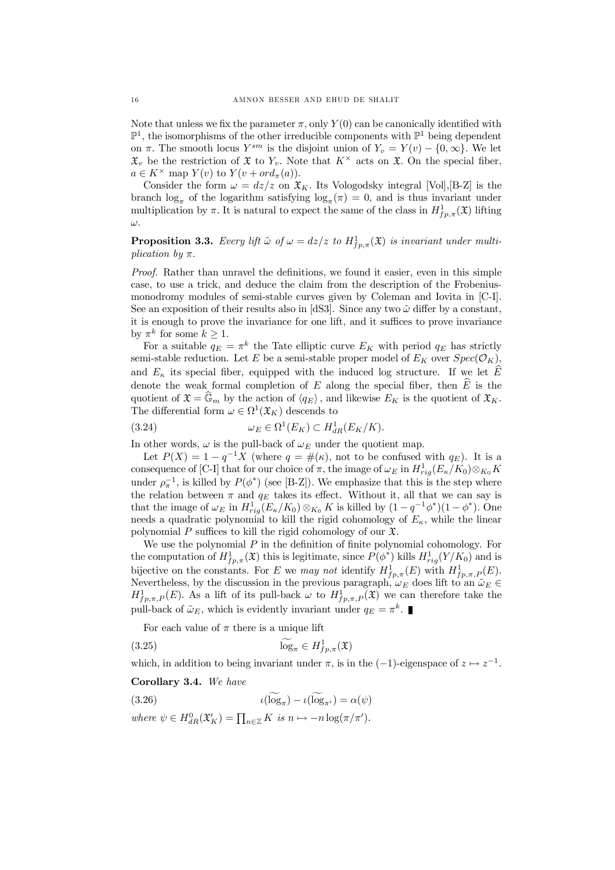Note that unless we fix the parameter  $\pi$ , only  $Y(0)$  can be canonically identified with  $\mathbb{P}^1$ , the isomorphisms of the other irreducible components with  $\mathbb{P}^1$  being dependent on  $\pi$ . The smooth locus  $Y^{sm}$  is the disjoint union of  $Y_v = Y(v) - \{0, \infty\}$ . We let  $\mathfrak{X}_v$  be the restriction of  $\mathfrak{X}$  to  $Y_v$ . Note that  $K^\times$  acts on  $\mathfrak{X}$ . On the special fiber,  $a \in K^{\times}$  map  $Y(v)$  to  $Y(v + ord_{\pi}(a)).$ 

Consider the form  $\omega = dz/z$  on  $\mathfrak{X}_K$ . Its Vologodsky integral [Vol], [B-Z] is the branch  $\log_{\pi}$  of the logarithm satisfying  $\log_{\pi}(\pi) = 0$ , and is thus invariant under multiplication by  $\pi$ . It is natural to expect the same of the class in  $H^1_{fp,\pi}(\mathfrak{X})$  lifting  $\omega$ .

# **Proposition 3.3.** Every lift  $\tilde{\omega}$  of  $\omega = dz/z$  to  $H_{fp,\pi}^1(\mathfrak{X})$  is invariant under multi*plication* by  $\pi$ .

*Proof.* Rather than unravel the definitions, we found it easier, even in this simple case, to use a trick, and deduce the claim from the description of the Frobeniusmonodromy modules of semi-stable curves given by Coleman and Iovita in [C-I]. See an exposition of their results also in [dS3]. Since any two  $\tilde{\omega}$  differ by a constant, it is enough to prove the invariance for one lift, and it suffices to prove invariance by  $\pi^k$  for some  $k \geq 1$ .

For a suitable  $q_E = \pi^k$  the Tate elliptic curve  $E_K$  with period  $q_E$  has strictly semi-stable reduction. Let E be a semi-stable proper model of  $E_K$  over  $Spec(\mathcal{O}_K)$ , and  $E_{\kappa}$  its special fiber, equipped with the induced log structure. If we let  $\widehat{E}$ denote the weak formal completion of E along the special fiber, then  $\widehat{E}$  is the quotient of  $\mathfrak{X} = \mathbb{G}_m$  by the action of  $\langle q_E \rangle$ , and likewise  $E_K$  is the quotient of  $\mathfrak{X}_K$ . The differential form  $\omega \in \Omega^1(\mathfrak{X}_K)$  descends to

(3.24) 
$$
\omega_E \in \Omega^1(E_K) \subset H^1_{dR}(E_K/K).
$$

In other words,  $\omega$  is the pull-back of  $\omega_E$  under the quotient map.

Let  $P(X) = 1 - q^{-1}X$  (where  $q = #(\kappa)$ , not to be confused with  $q_E$ ). It is a consequence of [C-I] that for our choice of  $\pi$ , the image of  $\omega_E$  in  $H^1_{rig}(E_\kappa/K_0) \otimes_{K_0} K$ under  $\rho_{\pi}^{-1}$ , is killed by  $P(\phi^*)$  (see [B-Z]). We emphasize that this is the step where the relation between  $\pi$  and  $q_E$  takes its effect. Without it, all that we can say is that the image of  $\omega_E$  in  $H^1_{rig}(E_\kappa/K_0) \otimes_{K_0} K$  is killed by  $(1-q^{-1}\phi^*)(1-\phi^*)$ . One needs a quadratic polynomial to kill the rigid cohomology of  $E_{\kappa}$ , while the linear polynomial P suffices to kill the rigid cohomology of our  $\mathfrak{X}$ .

We use the polynomial  $P$  in the definition of finite polynomial cohomology. For the computation of  $H^1_{fp,\pi}(\mathfrak{X})$  this is legitimate, since  $P(\phi^*)$  kills  $H^1_{rig}(Y/K_0)$  and is bijective on the constants. For E we *may not* identify  $H_{fp,\pi}^1(E)$  with  $H_{fp,\pi,P}^1(E)$ . Nevertheless, by the discussion in the previous paragraph,  $\omega_E$  does lift to an  $\tilde{\omega}_E$  $H^1_{fp,\pi,P}(E)$ . As a lift of its pull-back  $\omega$  to  $H^1_{fp,\pi,P}(\mathfrak{X})$  we can therefore take the pull-back of  $\tilde{\omega}_E$ , which is evidently invariant under  $q_E = \pi^k$ .

For each value of  $\pi$  there is a unique lift

$$
(3.25) \t\t\tlog_{\pi} \in H_{fp,\pi}^1(\mathfrak{X})
$$

which, in addition to being invariant under  $\pi$ , is in the  $(-1)$ -eigenspace of  $z \mapsto z^{-1}$ .

#### Corollary 3.4. *We have*

(3.26)  $\iota(\log_{\pi}) - \iota(\log_{\pi'}) = \alpha(\psi)$ 

where  $\psi \in H_{dR}^0(\mathfrak{X}'_K) = \prod_{n \in \mathbb{Z}} K$  *is*  $n \mapsto -n \log(\pi/\pi').$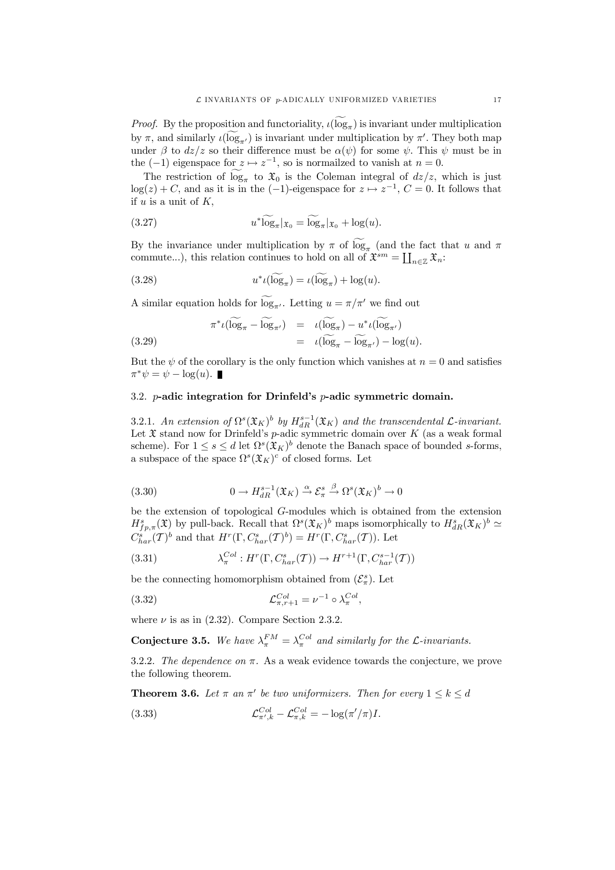*Proof.* By the proposition and functoriality,  $\iota(\log_{\pi})$  is invariant under multiplication by  $\pi$ , and similarly  $\iota(\log_{\pi'})$  is invariant under multiplication by  $\pi'$ . They both map under  $\beta$  to  $dz/z$  so their difference must be  $\alpha(\psi)$  for some  $\psi$ . This  $\psi$  must be in the  $(-1)$  eigenspace for  $z \mapsto z^{-1}$ , so is normailzed to vanish at  $n = 0$ .

The restriction of  $\log_{\pi}$  to  $\mathfrak{X}_0$  is the Coleman integral of  $dz/z$ , which is just  $log(z) + C$ , and as it is in the  $(-1)$ -eigenspace for  $z \mapsto z^{-1}$ ,  $C = 0$ . It follows that if  $u$  is a unit of  $K$ ,

(3.27) 
$$
u^* \widetilde{\log}_{\pi} |_{\mathfrak{X}_0} = \widetilde{\log}_{\pi} |_{\mathfrak{X}_0} + \log(u).
$$

By the invariance under multiplication by  $\pi$  of log<sub> $\pi$ </sub> (and the fact that u and  $\pi$ commute...), this relation continues to hold on all of  $\mathfrak{X}^{sm} = \coprod_{n \in \mathbb{Z}} \mathfrak{X}_n$ :

(3.28) 
$$
u^* \iota(\log_{\pi}) = \iota(\log_{\pi}) + \log(u).
$$

A similar equation holds for  $\log_{\pi'}$ . Letting  $u = \pi/\pi'$  we find out

(3.29) 
$$
\pi^* \iota(\log_{\pi} - \log_{\pi'}) = \iota(\log_{\pi}) - u^* \iota(\log_{\pi'})
$$

$$
= \iota(\log_{\pi} - \log_{\pi'}) - \log(u).
$$

But the  $\psi$  of the corollary is the only function which vanishes at  $n = 0$  and satisfies  $\pi^*\psi = \psi - \log(u).$ 

# 3.2.  $p$ -adic integration for Drinfeld's  $p$ -adic symmetric domain.

3.2.1. An extension of  $\Omega^s(\mathfrak{X}_K)^b$  by  $H^{s-1}_{dR}(\mathfrak{X}_K)$  and the transcendental  $\mathcal{L}$ -invariant. Let  $\mathfrak X$  stand now for Drinfeld's p-adic symmetric domain over  $K$  (as a weak formal scheme). For  $1 \leq s \leq d$  let  $\Omega^s(\mathfrak{X}_K)^b$  denote the Banach space of bounded s-forms, a subspace of the space  $\Omega^s(\mathfrak{X}_K)^c$  of closed forms. Let

(3.30) 
$$
0 \to H_{dR}^{s-1}(\mathfrak{X}_K) \xrightarrow{\alpha} \mathcal{E}_{\pi}^s \xrightarrow{\beta} \Omega^s(\mathfrak{X}_K)^b \to 0
$$

be the extension of topological G-modules which is obtained from the extension  $H^s_{fp,\pi}(\mathfrak{X})$  by pull-back. Recall that  $\Omega^s(\mathfrak{X}_K)^b$  maps isomorphically to  $H^s_{dR}(\mathfrak{X}_K)^b \simeq$  $C_{har}^s(\mathcal{T})^b$  and that  $H^r(\Gamma, C_{har}^s(\mathcal{T})^b) = H^r(\Gamma, C_{har}^s(\mathcal{T}))$ . Let

(3.31) 
$$
\lambda_{\pi}^{Col}: H^r(\Gamma, C_{har}^s(\mathcal{T})) \to H^{r+1}(\Gamma, C_{har}^{s-1}(\mathcal{T}))
$$

be the connecting homomorphism obtained from  $(\mathcal{E}_{\pi}^s)$ . Let

(3.32) 
$$
\mathcal{L}^{Col}_{\pi,r+1} = \nu^{-1} \circ \lambda^{Col}_{\pi},
$$

where  $\nu$  is as in (2.32). Compare Section 2.3.2.

**Conjecture 3.5.** We have  $\lambda_{\pi}^{FM} = \lambda_{\pi}^{Col}$  and similarly for the L-invariants.

3.2.2. The *dependence* on  $\pi$ . As a weak evidence towards the conjecture, we prove the following theorem.

**Theorem 3.6.** Let  $\pi$  an  $\pi'$  be two uniformizers. Then for every  $1 \leq k \leq d$ 

(3.33) 
$$
\mathcal{L}_{\pi',k}^{Col} - \mathcal{L}_{\pi,k}^{Col} = -\log(\pi'/\pi)I.
$$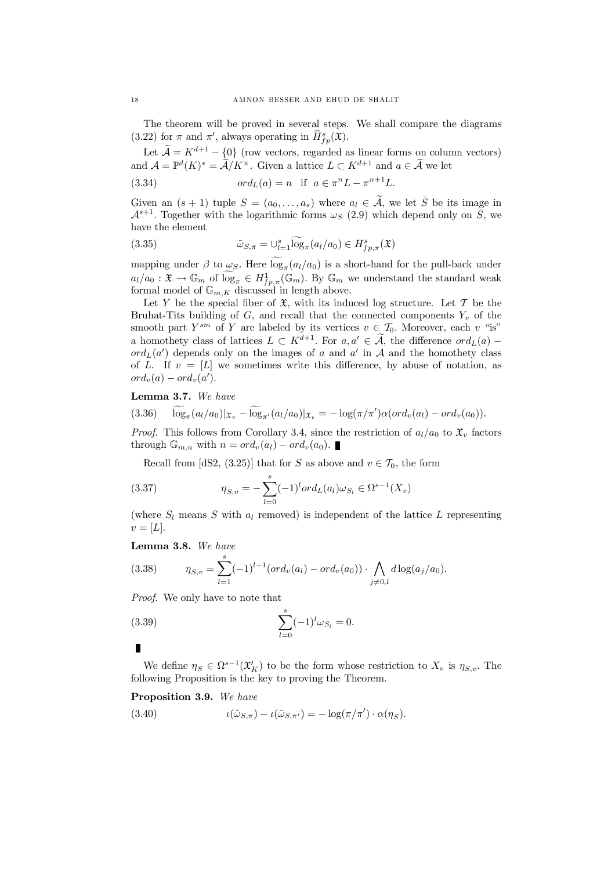The theorem will be proved in several steps. We shall compare the diagrams (3.22) for  $\pi$  and  $\pi'$ , always operating in  $\widehat{H}^s_{fp}(\mathfrak{X})$ .

Let  $\widetilde{\mathcal{A}} = K^{d+1} - \{0\}$  (row vectors, regarded as linear forms on column vectors) and  $\mathcal{A} = \mathbb{P}^d(K)^* = \tilde{\mathcal{A}}/K^\times$ . Given a lattice  $L \subset K^{d+1}$  and  $a \in \tilde{\mathcal{A}}$  we let

(3.34) 
$$
ord_L(a) = n \text{ if } a \in \pi^n L - \pi^{n+1} L.
$$

Given an  $(s + 1)$  tuple  $S = (a_0, \ldots, a_s)$  where  $a_i \in \tilde{A}$ , we let  $\overline{S}$  be its image in  $\mathcal{A}^{s+1}$ . Together with the logarithmic forms  $\omega_S$  (2.9) which depend only on  $\overline{S}$ , we have the element

(3.35) 
$$
\tilde{\omega}_{S,\pi} = \bigcup_{l=1}^{s} \log_{\pi}(a_l/a_0) \in H_{fp,\pi}^s(\mathfrak{X})
$$

mapping under  $\beta$  to  $\omega_{\mathcal{S}}$ . Here  $\log_{\pi}(a_l/a_0)$  is a short-hand for the pull-back under  $a_l/a_0 : \mathfrak{X} \to \mathbb{G}_m$  of  $\log_{\pi} \in H^1_{fp,\pi}(\mathbb{G}_m)$ . By  $\mathbb{G}_m$  we understand the standard weak formal model of  $\mathbb{G}_{m,K}$  discussed in length above.

Let Y be the special fiber of  $\mathfrak{X}$ , with its induced log structure. Let T be the Bruhat-Tits building of  $G$ , and recall that the connected components  $Y_v$  of the smooth part  $Y^{sm}$  of Y are labeled by its vertices  $v \in \mathcal{I}_0$ . Moreover, each v "is" a homothety class of lattices  $L \subset K^{d+1}$ . For  $a, a' \in \tilde{A}$ , the difference  $ord_L(a)$  –  $ord_L(a')$  depends only on the images of a and a' in A and the homothety class of L. If  $v = [L]$  we sometimes write this difference, by abuse of notation, as  $ord_v(a) - ord_v(a').$ 

#### Lemma 3.7. *We have*

$$
(3.36) \quad \log_{\pi}(a_l/a_0)|_{\mathfrak{X}_v} - \log_{\pi'}(a_l/a_0)|_{\mathfrak{X}_v} = -\log(\pi/\pi')\alpha(ord_v(a_l) - ord_v(a_0)).
$$

*Proof.* This follows from Corollary 3.4, since the restriction of  $a_l/a_0$  to  $\mathfrak{X}_v$  factors through  $\mathbb{G}_{m,n}$  with  $n = ord_v(a_l) - ord_v(a_0)$ .

Recall from [dS2, (3.25)] that for S as above and  $v \in \mathcal{T}_0$ , the form

(3.37) 
$$
\eta_{S,v} = -\sum_{l=0}^{s} (-1)^{l} ord_{L}(a_{l}) \omega_{S_{l}} \in \Omega^{s-1}(X_{v})
$$

(where  $S_l$  means S with  $a_l$  removed) is independent of the lattice L representing  $v = [L].$ 

# Lemma 3.8. *We have*

(3.38) 
$$
\eta_{S,v} = \sum_{l=1}^s (-1)^{l-1} (ord_v(a_l) - ord_v(a_0)) \cdot \bigwedge_{j \neq 0,l} d \log(a_j/a_0).
$$

*Proof.* We only have to note that

(3.39) 
$$
\sum_{l=0}^{s} (-1)^{l} \omega_{S_{l}} = 0.
$$

We define  $\eta_S \in \Omega^{s-1}(\mathfrak{X}'_K)$  to be the form whose restriction to  $X_v$  is  $\eta_{S,v}$ . The following Proposition is the key to proving the Theorem.

#### Proposition 3.9. *We have*

(3.40) 
$$
\iota(\tilde{\omega}_{S,\pi}) - \iota(\tilde{\omega}_{S,\pi'}) = -\log(\pi/\pi') \cdot \alpha(\eta_S).
$$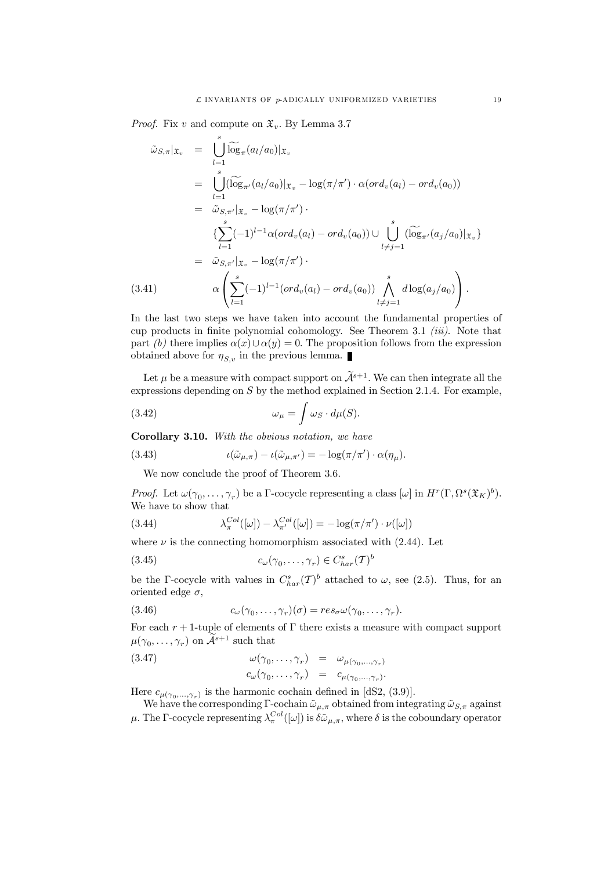*Proof.* Fix v and compute on  $\mathfrak{X}_v$ . By Lemma 3.7

$$
\tilde{\omega}_{S,\pi}|_{\mathfrak{X}_v} = \bigcup_{l=1}^s \widetilde{\log}_{\pi}(a_l/a_0)|_{\mathfrak{X}_v} \n= \bigcup_{l=1}^s (\widetilde{\log}_{\pi'}(a_l/a_0)|_{\mathfrak{X}_v} - \log(\pi/\pi') \cdot \alpha(\operatorname{ord}_v(a_l) - \operatorname{ord}_v(a_0)) \n= \tilde{\omega}_{S,\pi'}|_{\mathfrak{X}_v} - \log(\pi/\pi') \cdot \n\{\sum_{l=1}^s (-1)^{l-1} \alpha(\operatorname{ord}_v(a_l) - \operatorname{ord}_v(a_0)) \cup \bigcup_{l \neq j=1}^s (\widetilde{\log}_{\pi'}(a_j/a_0)|_{\mathfrak{X}_v}\} \n= \tilde{\omega}_{S,\pi'}|_{\mathfrak{X}_v} - \log(\pi/\pi') \cdot \n(3.41) \qquad \alpha \left( \sum_{l=1}^s (-1)^{l-1} (\operatorname{ord}_v(a_l) - \operatorname{ord}_v(a_0)) \bigwedge_{l \neq j=1}^s d \log(a_j/a_0) \right).
$$

In the last two steps we have taken into account the fundamental properties of cup products in finite polynomial cohomology. See Theorem 3.1 *(iii)*. Note that part *(b)* there implies  $\alpha(x) \cup \alpha(y) = 0$ . The proposition follows from the expression obtained above for  $\eta_{S,v}$  in the previous lemma.

Let  $\mu$  be a measure with compact support on  $\tilde{\mathcal{A}}^{s+1}$ . We can then integrate all the expressions depending on  $S$  by the method explained in Section 2.1.4. For example,

(3.42) 
$$
\omega_{\mu} = \int \omega_S \cdot d\mu(S).
$$

Corollary 3.10. *With the obvious notation, we have*

(3.43) 
$$
\iota(\tilde{\omega}_{\mu,\pi}) - \iota(\tilde{\omega}_{\mu,\pi'}) = -\log(\pi/\pi') \cdot \alpha(\eta_{\mu}).
$$

We now conclude the proof of Theorem 3.6.

*Proof.* Let  $\omega(\gamma_0, \ldots, \gamma_r)$  be a  $\Gamma$ -cocycle representing a class  $[\omega]$  in  $H^r(\Gamma, \Omega^s(\mathfrak{X}_K)^b)$ . We have to show that

(3.44) 
$$
\lambda_{\pi}^{Col}([\omega]) - \lambda_{\pi'}^{Col}([\omega]) = -\log(\pi/\pi') \cdot \nu([\omega])
$$

where  $\nu$  is the connecting homomorphism associated with (2.44). Let

(3.45) 
$$
c_{\omega}(\gamma_0,\ldots,\gamma_r) \in C_{har}^s(\mathcal{T})^b
$$

be the  $\Gamma$ -cocycle with values in  $C_{har}^s(\mathcal{T})^b$  attached to  $\omega$ , see (2.5). Thus, for an oriented edge  $\sigma$ ,

(3.46) 
$$
c_{\omega}(\gamma_0,\ldots,\gamma_r)(\sigma) = res_{\sigma}\omega(\gamma_0,\ldots,\gamma_r).
$$

For each  $r + 1$ -tuple of elements of  $\Gamma$  there exists a measure with compact support  $\mu(\gamma_0,\ldots,\gamma_r)$  on  $\widetilde{\mathcal{A}}^{s+1}$  such that

(3.47) 
$$
\omega(\gamma_0, \dots, \gamma_r) = \omega_{\mu(\gamma_0, \dots, \gamma_r)}
$$

$$
c_{\omega}(\gamma_0, \dots, \gamma_r) = c_{\mu(\gamma_0, \dots, \gamma_r)}.
$$

Here  $c_{\mu(\gamma_0,\ldots,\gamma_r)}$  is the harmonic cochain defined in [dS2, (3.9)].

We have the corresponding  $\Gamma$  cochain  $\tilde{\omega}_{\mu,\pi}$  obtained from integrating  $\tilde{\omega}_{S,\pi}$  against  $\mu$ . The  $\Gamma$ -cocycle representing  $\lambda_{\pi}^{Col}([\omega])$  is  $\delta\tilde{\omega}_{\mu,\pi}$ , where  $\delta$  is the coboundary operator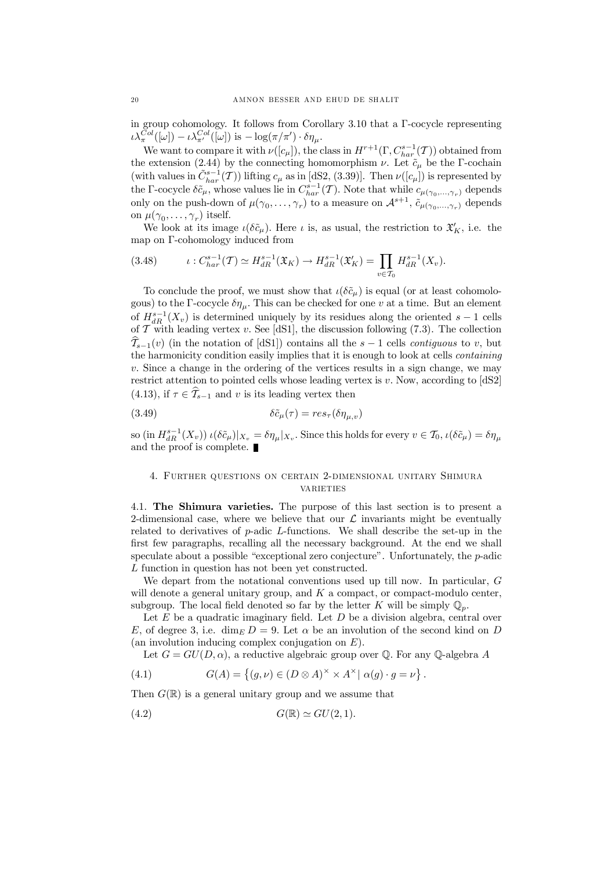in group cohomology. It follows from Corollary 3.10 that a  $\Gamma$ -cocycle representing  $\iota\lambda_{\pi}^{Col}([\omega]) - \iota\lambda_{\pi'}^{Col}([\omega])$  is  $-\log(\pi/\pi') \cdot \delta\eta_{\mu}$ .

We want to compare it with  $\nu([c_\mu])$ , the class in  $H^{r+1}(\Gamma, C_{har}^{s-1}(\mathcal{T}))$  obtained from the extension (2.44) by the connecting homomorphism  $\nu$ . Let  $\tilde{c}_{\mu}$  be the  $\Gamma$ -cochain (with values in  $\tilde{C}^{s-1}_{har}(T)$ ) lifting  $c_{\mu}$  as in [dS2, (3.39)]. Then  $\nu([c_{\mu}])$  is represented by the  $\Gamma$ -cocycle  $\delta \tilde{c}_{\mu}$ , whose values lie in  $C_{har}^{s-1}(\mathcal{T})$ . Note that while  $c_{\mu(\gamma_0,\dots,\gamma_r)}$  depends only on the push-down of  $\mu(\gamma_0,\ldots,\gamma_r)$  to a measure on  $\mathcal{A}^{s+1}$ ,  $\tilde{c}_{\mu(\gamma_0,\ldots,\gamma_r)}$  depends on  $\mu(\gamma_0,\ldots,\gamma_r)$  itself.

We look at its image  $\iota(\delta \tilde{c}_{\mu})$ . Here  $\iota$  is, as usual, the restriction to  $\mathfrak{X}'_K$ , i.e. the map on  $\Gamma$ -cohomology induced from

$$
(3.48) \qquad \iota: C_{har}^{s-1}(\mathcal{T}) \simeq H_{dR}^{s-1}(\mathfrak{X}_K) \to H_{dR}^{s-1}(\mathfrak{X}'_K) = \prod_{v \in \mathcal{T}_0} H_{dR}^{s-1}(X_v).
$$

To conclude the proof, we must show that  $\iota(\delta \tilde{c}_{\mu})$  is equal (or at least cohomologous) to the  $\Gamma$ -cocycle  $\delta \eta_{\mu}$ . This can be checked for one v at a time. But an element of  $H_{dR}^{s-1}(X_v)$  is determined uniquely by its residues along the oriented  $s-1$  cells of  $\mathcal T$  with leading vertex v. See [dS1], the discussion following (7.3). The collection  $\widehat{\mathcal{I}}_{s-1}(v)$  (in the notation of [dS1]) contains all the  $s-1$  cells *contiguous* to v, but the harmonicity condition easily implies that it is enough to look at cells *containing*  $v.$  Since a change in the ordering of the vertices results in a sign change, we may restrict attention to pointed cells whose leading vertex is  $v$ . Now, according to  $[dS2]$ (4.13), if  $\tau \in \hat{\mathcal{T}}_{s-1}$  and v is its leading vertex then

(3.49) 
$$
\delta \tilde{c}_{\mu}(\tau) = res_{\tau}(\delta \eta_{\mu, v})
$$

so  $(\text{in } H^{s-1}_{dR}(X_v)) \iota(\delta \tilde{c}_{\mu})|_{X_v} = \delta \eta_{\mu}|_{X_v}$ . Since this holds for every  $v \in \mathcal{T}_0$ ,  $\iota(\delta \tilde{c}_{\mu}) = \delta \eta_{\mu}$ and the proof is complete.

# 4. Further questions on certain 2-dimensional unitary Shimura **VARIETIES**

4.1. The Shimura varieties. The purpose of this last section is to present a 2-dimensional case, where we believe that our  $\mathcal L$  invariants might be eventually related to derivatives of  $p$ -adic  $L$ -functions. We shall describe the set-up in the first few paragraphs, recalling all the necessary background. At the end we shall speculate about a possible "exceptional zero conjecture". Unfortunately, the p-adic L function in question has not been yet constructed.

We depart from the notational conventions used up till now. In particular, G will denote a general unitary group, and  $K$  a compact, or compact-modulo center, subgroup. The local field denoted so far by the letter K will be simply  $\mathbb{Q}_n$ .

Let  $E$  be a quadratic imaginary field. Let  $D$  be a division algebra, central over E, of degree 3, i.e. dim<sub>E</sub>  $D = 9$ . Let  $\alpha$  be an involution of the second kind on D (an involution inducing complex conjugation on E).

Let  $G = GU(D, \alpha)$ , a reductive algebraic group over Q. For any Q-algebra A

(4.1) 
$$
G(A) = \{(g, \nu) \in (D \otimes A)^{\times} \times A^{\times} | \alpha(g) \cdot g = \nu \}.
$$

Then  $G(\mathbb{R})$  is a general unitary group and we assume that

$$
(4.2) \tG(\mathbb{R}) \simeq GU(2,1).
$$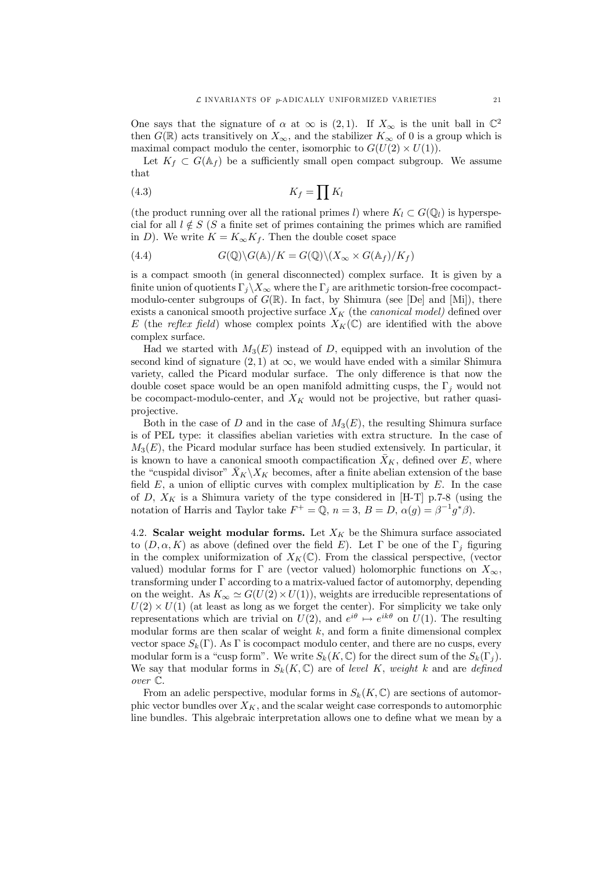One says that the signature of  $\alpha$  at  $\infty$  is (2, 1). If  $X_{\infty}$  is the unit ball in  $\mathbb{C}^2$ then  $G(\mathbb{R})$  acts transitively on  $X_{\infty}$ , and the stabilizer  $K_{\infty}$  of 0 is a group which is maximal compact modulo the center, isomorphic to  $G(U(2) \times U(1))$ .

Let  $K_f \subset G(\mathbb{A}_f)$  be a sufficiently small open compact subgroup. We assume that

$$
(4.3)\t\t K_f = \prod K_l
$$

(the product running over all the rational primes l) where  $K_l \subset G(\mathbb{Q}_l)$  is hyperspecial for all  $l \notin S$  (S a finite set of primes containing the primes which are ramified in D). We write  $K = K_{\infty}K_f$ . Then the double coset space

(4.4) 
$$
G(\mathbb{Q})\backslash G(\mathbb{A})/K = G(\mathbb{Q})\backslash (X_{\infty} \times G(\mathbb{A}_f)/K_f)
$$

is a compact smooth (in general disconnected) complex surface. It is given by a finite union of quotients  $\Gamma_j\backslash X_\infty$  where the  $\Gamma_j$  are arithmetic torsion-free cocompactmodulo-center subgroups of  $G(\mathbb{R})$ . In fact, by Shimura (see [De] and [Mi]), there exists a canonical smooth projective surface  $X_K$  (the *canonical model*) defined over E (the *reflex field*) whose complex points  $X_K(\mathbb{C})$  are identified with the above complex surface.

Had we started with  $M_3(E)$  instead of D, equipped with an involution of the second kind of signature  $(2, 1)$  at  $\infty$ , we would have ended with a similar Shimura variety, called the Picard modular surface. The only difference is that now the double coset space would be an open manifold admitting cusps, the  $\Gamma_i$  would not be cocompact-modulo-center, and  $X_K$  would not be projective, but rather quasiprojective.

Both in the case of D and in the case of  $M_3(E)$ , the resulting Shimura surface is of PEL type: it classifies abelian varieties with extra structure. In the case of  $M_3(E)$ , the Picard modular surface has been studied extensively. In particular, it is known to have a canonical smooth compactification  $\bar{X}_K$ , defined over E, where the "cuspidal divisor"  $\bar{X}_K \backslash X_K$  becomes, after a finite abelian extension of the base field  $E$ , a union of elliptic curves with complex multiplication by  $E$ . In the case of D,  $X_K$  is a Shimura variety of the type considered in [H-T] p.7-8 (using the notation of Harris and Taylor take  $F^+ = \mathbb{Q}, n = 3, B = D, \alpha(g) = \beta^{-1} g^* \beta$ .

4.2. Scalar weight modular forms. Let  $X_K$  be the Shimura surface associated to  $(D, \alpha, K)$  as above (defined over the field E). Let  $\Gamma$  be one of the  $\Gamma_i$  figuring in the complex uniformization of  $X_K(\mathbb{C})$ . From the classical perspective, (vector valued) modular forms for  $\Gamma$  are (vector valued) holomorphic functions on  $X_{\infty}$ , transforming under  $\Gamma$  according to a matrix-valued factor of automorphy, depending on the weight. As  $K_{\infty} \simeq G(U(2) \times U(1))$ , weights are irreducible representations of  $U(2) \times U(1)$  (at least as long as we forget the center). For simplicity we take only representations which are trivial on  $U(2)$ , and  $e^{i\theta} \mapsto e^{ik\theta}$  on  $U(1)$ . The resulting modular forms are then scalar of weight  $k$ , and form a finite dimensional complex vector space  $S_k(\Gamma)$ . As  $\Gamma$  is cocompact modulo center, and there are no cusps, every modular form is a "cusp form". We write  $S_k(K,\mathbb{C})$  for the direct sum of the  $S_k(\Gamma_i)$ . We say that modular forms in  $S_k(K,\mathbb{C})$  are of *level* K, *weight* k and are *defined over* C:

From an adelic perspective, modular forms in  $S_k(K,\mathbb{C})$  are sections of automorphic vector bundles over  $X_K$ , and the scalar weight case corresponds to automorphic line bundles. This algebraic interpretation allows one to define what we mean by a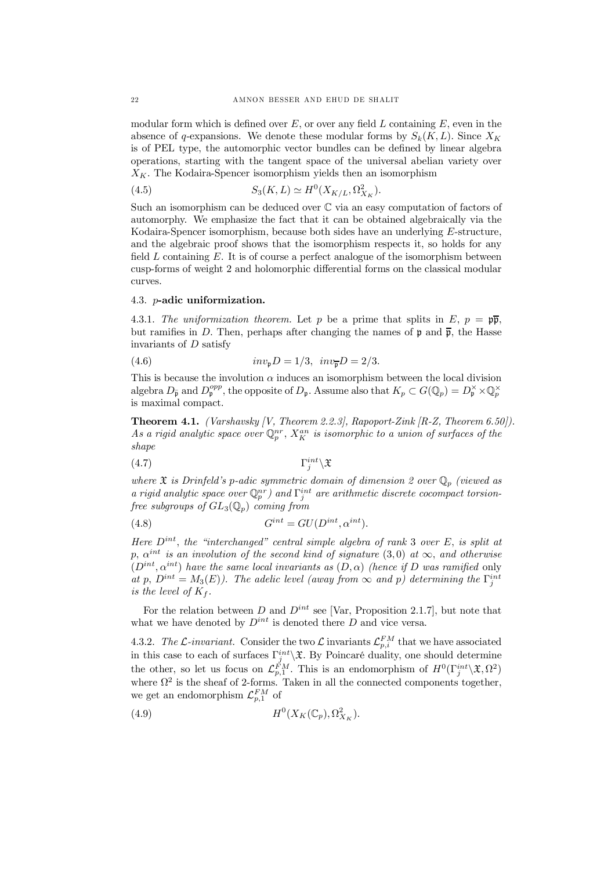modular form which is defined over E, or over any field L containing  $E$ , even in the absence of q-expansions. We denote these modular forms by  $S_k(K, L)$ . Since  $X_K$ is of PEL type, the automorphic vector bundles can be defined by linear algebra operations, starting with the tangent space of the universal abelian variety over  $X_K$ . The Kodaira-Spencer isomorphism yields then an isomorphism

(4.5) 
$$
S_3(K,L) \simeq H^0(X_{K/L}, \Omega^2_{X_K}).
$$

Such an isomorphism can be deduced over  $\mathbb C$  via an easy computation of factors of automorphy. We emphasize the fact that it can be obtained algebraically via the Kodaira-Spencer isomorphism, because both sides have an underlying E-structure, and the algebraic proof shows that the isomorphism respects it, so holds for any field  $L$  containing  $E$ . It is of course a perfect analogue of the isomorphism between cusp-forms of weight 2 and holomorphic differential forms on the classical modular curves.

#### 4.3. p-adic uniformization.

4.3.1. *The uniformization theorem.* Let p be a prime that splits in  $E, p = \mathfrak{p}\overline{\mathfrak{p}},$ but ramifies in D. Then, perhaps after changing the names of  $\mathfrak p$  and  $\bar{\mathfrak p}$ , the Hasse invariants of D satisfy

(4.6) 
$$
inv_{p}D = 1/3, \quad inv_{\overline{p}}D = 2/3.
$$

This is because the involution  $\alpha$  induces an isomorphism between the local division algebra  $D_{\bar{p}}$  and  $D_{p}^{opp}$ , the opposite of  $D_{p}$ . Assume also that  $K_{p} \subset G(\mathbb{Q}_{p}) = D_{p}^{\times} \times \mathbb{Q}_{p}^{\times}$ is maximal compact.

Theorem 4.1. *(Varshavsky [V, Theorem 2.2.3], Rapoport-Zink [R-Z, Theorem 6.50]).* As a rigid analytic space over  $\mathbb{Q}_p^{nr}$ ,  $X_K^{an}$  is isomorphic to a union of surfaces of the *shape*

$$
(4.7) \t\Gamma_j^{int} \setminus \mathfrak{X}
$$

*where*  $\mathfrak X$  *is Drinfeld's* p-adic symmetric domain of dimension 2 over  $\mathbb{Q}_p$  (viewed as *a* rigid analytic space over  $\mathbb{Q}_p^{nr}$  and  $\Gamma_j^{int}$  are arithmetic discrete cocompact torsion*free subgroups of*  $GL_3(\mathbb{Q}_p)$  *coming from* 

(4.8) 
$$
G^{int} = GU(D^{int}, \alpha^{int}).
$$

*Here*  $D^{int}$ , *the "interchanged" central simple algebra of rank* 3 *over*  $E$ , *is split at*  $p, \alpha^{int}$  *is an involution of the second kind of signature*  $(3,0)$  *at*  $\infty$ *, and otherwise*  $(D^{int}, \alpha^{int})$  have the same local invariants as  $(D, \alpha)$  (hence if D was ramified only *at* p,  $D^{int} = M_3(E)$ . The adelic level (away from  $\infty$  and p) determining the  $\Gamma_j^{int}$ *is* the level of  $K_f$ .

For the relation between D and  $D^{int}$  see [Var, Proposition 2.1.7], but note that what we have denoted by  $D^{int}$  is denoted there D and vice versa.

4.3.2. The L-invariant. Consider the two L invariants  $\mathcal{L}_{p,i}^{FM}$  that we have associated in this case to each of surfaces  $\Gamma_j^{int} \backslash \mathfrak{X}$ . By Poincaré duality, one should determine the other, so let us focus on  $\mathcal{L}_{p,1}^{FM}$ . This is an endomorphism of  $H^0(\Gamma_j^{int}\setminus\mathfrak{X}, \Omega^2)$ where  $\Omega^2$  is the sheaf of 2-forms. Taken in all the connected components together, we get an endomorphism  $\mathcal{L}_{p,1}^{FM}$  of

$$
(4.9) \t\t H0(XK(\mathbb{C}_p), \OmegaXK2).
$$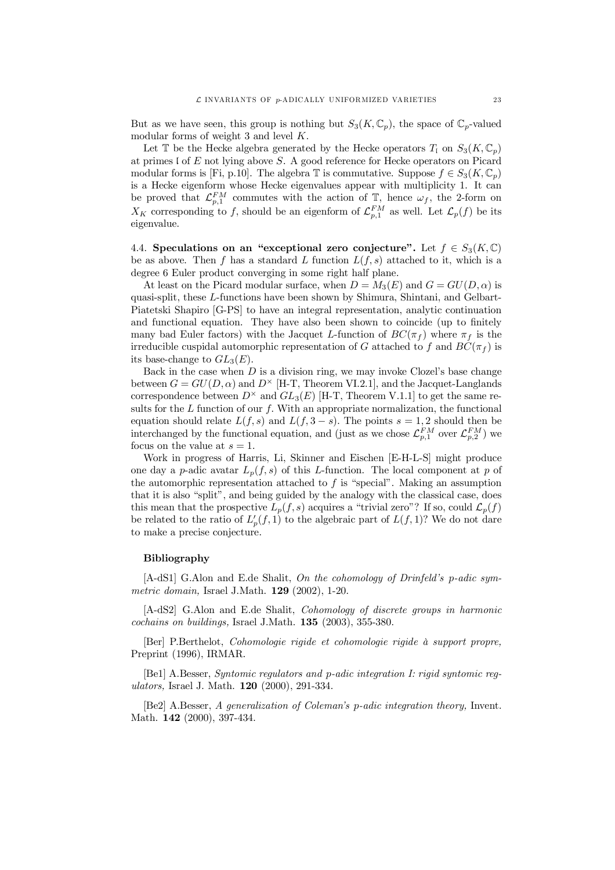But as we have seen, this group is nothing but  $S_3(K, \mathbb{C}_p)$ , the space of  $\mathbb{C}_p$ -valued modular forms of weight 3 and level K.

Let  $\mathbb T$  be the Hecke algebra generated by the Hecke operators  $T_1$  on  $S_3(K,\mathbb C_p)$ at primes  $I$  of  $E$  not lying above  $S$ . A good reference for Hecke operators on Picard modular forms is [Fi, p.10]. The algebra  $\mathbb T$  is commutative. Suppose  $f \in S_3(K, \mathbb C_p)$ is a Hecke eigenform whose Hecke eigenvalues appear with multiplicity 1. It can be proved that  $\mathcal{L}_{p,1}^{FM}$  commutes with the action of  $\mathbb{T}$ , hence  $\omega_f$ , the 2-form on  $X_K$  corresponding to f, should be an eigenform of  $\mathcal{L}_{p,1}^{FM}$  as well. Let  $\mathcal{L}_p(f)$  be its eigenvalue.

4.4. Speculations on an "exceptional zero conjecture". Let  $f \in S_3(K,\mathbb{C})$ be as above. Then f has a standard L function  $L(f, s)$  attached to it, which is a degree 6 Euler product converging in some right half plane.

At least on the Picard modular surface, when  $D = M_3(E)$  and  $G = GU(D, \alpha)$  is quasi-split, these L-functions have been shown by Shimura, Shintani, and Gelbart-Piatetski Shapiro [G-PS] to have an integral representation, analytic continuation and functional equation. They have also been shown to coincide (up to finitely many bad Euler factors) with the Jacquet L-function of  $BC(\pi_f)$  where  $\pi_f$  is the irreducible cuspidal automorphic representation of G attached to f and  $BC(\pi_f)$  is its base-change to  $GL_3(E)$ .

Back in the case when  $D$  is a division ring, we may invoke Clozel's base change between  $G = GU(D, \alpha)$  and  $D^{\times}$  [H-T, Theorem VI.2.1], and the Jacquet-Langlands correspondence between  $D^{\times}$  and  $GL_3(E)$  [H-T, Theorem V.1.1] to get the same results for the  $L$  function of our  $f$ . With an appropriate normalization, the functional equation should relate  $L(f, s)$  and  $L(f, 3 - s)$ . The points  $s = 1, 2$  should then be interchanged by the functional equation, and (just as we chose  $\mathcal{L}_{p,1}^{FM}$  over  $\mathcal{L}_{p,2}^{FM}$ ) we focus on the value at  $s = 1$ .

Work in progress of Harris, Li, Skinner and Eischen [E-H-L-S] might produce one day a p-adic avatar  $L_p(f, s)$  of this L-function. The local component at p of the automorphic representation attached to f is "special". Making an assumption that it is also "split", and being guided by the analogy with the classical case, does this mean that the prospective  $L_p(f, s)$  acquires a "trivial zero"? If so, could  $\mathcal{L}_p(f)$ be related to the ratio of  $L'_p(f,1)$  to the algebraic part of  $L(f,1)$ ? We do not dare to make a precise conjecture.

# Bibliography

[A-dS1] G.Alon and E.de Shalit, *On the cohomology of Drinfeld's* p*-adic symmetric domain,* Israel J.Math. 129 (2002), 1-20.

[A-dS2] G.Alon and E.de Shalit, *Cohomology of discrete groups in harmonic cochains on buildings,* Israel J.Math. 135 (2003), 355-380.

[Ber] P.Berthelot, *Cohomologie rigide et cohomologie rigide à support propre,* Preprint (1996), IRMAR.

[Be1] A.Besser, *Syntomic regulators and* p*-adic integration I: rigid syntomic regulators,* Israel J. Math. 120 (2000), 291-334.

[Be2] A.Besser, *A generalization of Coleman's* p*-adic integration theory,* Invent. Math. **142** (2000), 397-434.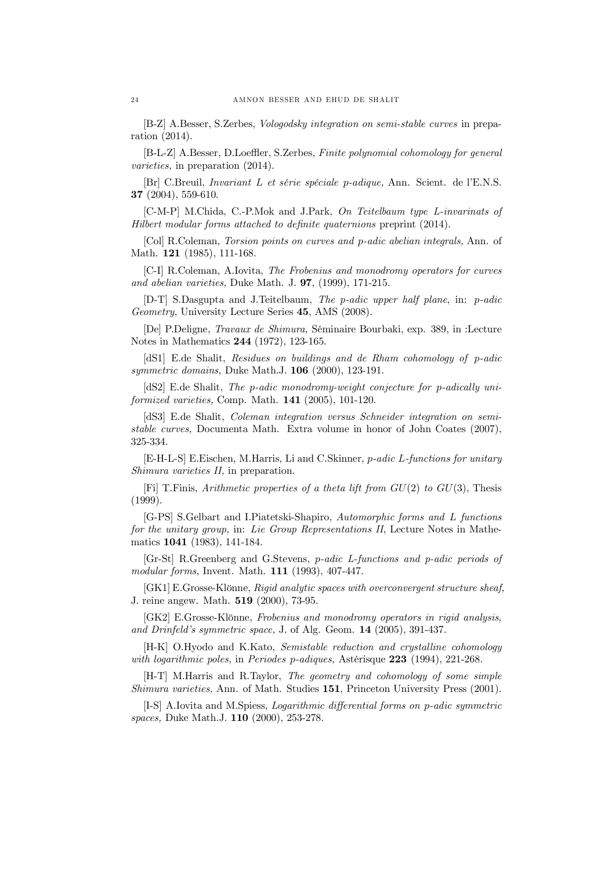[B-Z] A.Besser, S.Zerbes, *Vologodsky integration on semi-stable curves* in preparation (2014).

[B-L-Z] A.Besser, D.Loeer, S.Zerbes, *Finite polynomial cohomology for general varieties,* in preparation (2014).

[Br] C.Breuil, *Invariant* L *et série spéciale* p*-adique,* Ann. Scient. de l'E.N.S. 37 (2004), 559-610.

[C-M-P] M.Chida, C.-P.Mok and J.Park, *On Teitelbaum type L-invarinats of Hilbert* modular *forms* attached to definite quaternions preprint (2014).

[Col] R.Coleman, *Torsion points on curves and* p*-adic abelian integrals,* Ann. of Math. 121 (1985), 111-168.

[C-I] R.Coleman, A.Iovita, *The Frobenius and monodromy operators for curves and abelian varieties,* Duke Math. J. 97, (1999), 171-215.

[D-T] S.Dasgupta and J.Teitelbaum, *The p-adic upper half plane*, in: p*-adic Geometry*, University Lecture Series 45, AMS (2008).

[De] P.Deligne, *Travaux de Shimura,* Séminaire Bourbaki, exp. 389, in :Lecture Notes in Mathematics 244 (1972), 123-165.

[dS1] E.de Shalit, *Residues on buildings and de Rham cohomology of* p*-adic symmetric domains,* Duke Math.J. 106 (2000), 123-191.

[dS2] E.de Shalit, *The* p*-adic monodromy-weight conjecture for* p*-adically uniformized varieties,* Comp. Math. 141 (2005), 101-120.

[dS3] E.de Shalit, *Coleman integration versus Schneider integration on semistable curves,* Documenta Math. Extra volume in honor of John Coates (2007), 325-334.

[E-H-L-S] E.Eischen, M.Harris, Li and C.Skinner, p*-adic* L*-functions for unitary Shimura varieties II,* in preparation.

[Fi] T.Finis, *Arithmetic properties of a theta lift from* GU(2) *to* GU(3); Thesis (1999).

[G-PS] S.Gelbart and I.Piatetski-Shapiro, *Automorphic forms and* L *functions for the unitary group,* in: *Lie Group Representations II*, Lecture Notes in Mathematics 1041 (1983), 141-184.

[Gr-St] R.Greenberg and G.Stevens, p*-adic L-functions and p-adic periods of modular forms,* Invent. Math. 111 (1993), 407-447.

[GK1] E.Grosse-Klönne, *Rigid analytic spaces with overconvergent structure sheaf,* J. reine angew. Math. 519 (2000), 73-95.

[GK2] E.Grosse-Klönne, *Frobenius and monodromy operators in rigid analysis, and Drinfeld's symmetric space,* J. of Alg. Geom. 14 (2005), 391-437.

[H-K] O.Hyodo and K.Kato, *Semistable reduction and crystalline cohomology with logarithmic poles,* in *Periodes* p*-adiques,* Astérisque 223 (1994), 221-268.

[H-T] M.Harris and R.Taylor, *The geometry and cohomology of some simple Shimura varieties,* Ann. of Math. Studies 151, Princeton University Press (2001).

[I-S] A.Iovita and M.Spiess, *Logarithmic differential forms on p-adic symmetric spaces,* Duke Math.J. 110 (2000), 253-278.